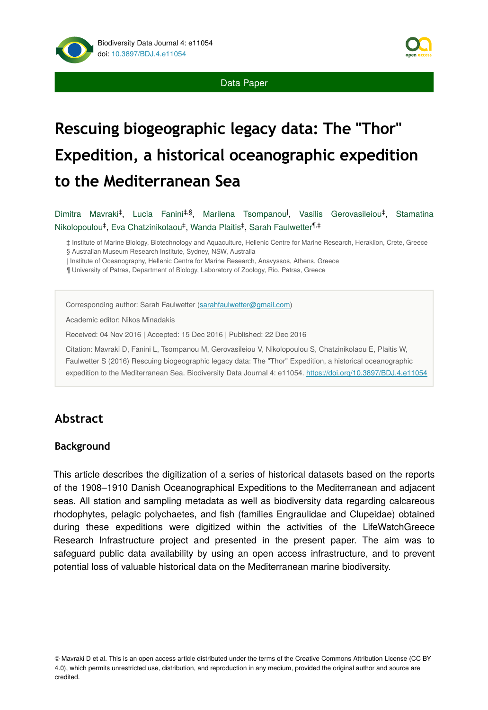

# **Rescuing biogeographic legacy data: The "Thor" Expedition, a historical oceanographic expedition to the Mediterranean Sea**

Dimitra Mavraki<sup>‡</sup>, Lucia Fanini<sup>‡,§</sup>, Marilena Tsompanou<sup>l</sup>, Vasilis Gerovasileiou<sup>‡</sup>, Stamatina Nikolopoulou<sup>‡</sup>, Eva Chatzinikolaou<sup>‡</sup>, Wanda Plaitis<sup>‡</sup>, Sarah Faulwetter<sup>¶,‡</sup>

‡ Institute of Marine Biology, Biotechnology and Aquaculture, Hellenic Centre for Marine Research, Heraklion, Crete, Greece § Australian Museum Research Institute, Sydney, NSW, Australia

| Institute of Oceanography, Hellenic Centre for Marine Research, Anavyssos, Athens, Greece

¶ University of Patras, Department of Biology, Laboratory of Zoology, Rio, Patras, Greece

Corresponding author: Sarah Faulwetter [\(sarahfaulwetter@gmail.com\)](mailto:sarahfaulwetter@gmail.com)

Academic editor: Nikos Minadakis

Received: 04 Nov 2016 | Accepted: 15 Dec 2016 | Published: 22 Dec 2016

Citation: Mavraki D, Fanini L, Tsompanou M, Gerovasileiou V, Nikolopoulou S, Chatzinikolaou E, Plaitis W, Faulwetter S (2016) Rescuing biogeographic legacy data: The "Thor" Expedition, a historical oceanographic expedition to the Mediterranean Sea. Biodiversity Data Journal 4: e11054.<https://doi.org/10.3897/BDJ.4.e11054>

# **Abstract**

### **Background**

This article describes the digitization of a series of historical datasets based οn the reports of the 1908–1910 Danish Oceanographical Expeditions to the Mediterranean and adjacent seas. All station and sampling metadata as well as biodiversity data regarding calcareous rhodophytes, pelagic polychaetes, and fish (families Engraulidae and Clupeidae) obtained during these expeditions were digitized within the activities of the LifeWatchGreece Research Infrastructure project and presented in the present paper. The aim was to safeguard public data availability by using an open access infrastructure, and to prevent potential loss of valuable historical data on the Mediterranean marine biodiversity.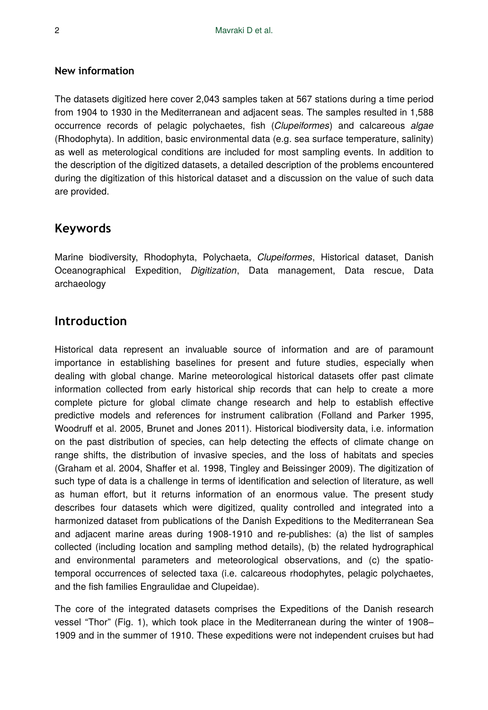### **New information**

The datasets digitized here cover 2,043 samples taken at 567 stations during a time period from 1904 to 1930 in the Mediterranean and adjacent seas. The samples resulted in 1,588 occurrence records of pelagic polychaetes, fish (*Clupeiformes*) and calcareous *algae* (Rhodophyta). In addition, basic environmental data (e.g. sea surface temperature, salinity) as well as meterological conditions are included for most sampling events. In addition to the description of the digitized datasets, a detailed description of the problems encountered during the digitization of this historical dataset and a discussion on the value of such data are provided.

## **Keywords**

Marine biodiversity, Rhodophyta, Polychaeta, *Clupeiformes*, Historical dataset, Danish Oceanographical Expedition, *Digitization*, Data management, Data rescue, Data archaeology

### **Introduction**

Historical data represent an invaluable source of information and are of paramount importance in establishing baselines for present and future studies, especially when dealing with global change. Marine meteorological historical datasets offer past climate information collected from early historical ship records that can help to create a more complete picture for global climate change research and help to establish effective predictive models and references for instrument calibration (Folland and Parker 1995, Woodruff et al. 2005, Brunet and Jones 2011). Historical biodiversity data, i.e. information on the past distribution of species, can help detecting the effects of climate change on range shifts, the distribution of invasive species, and the loss of habitats and species (Graham et al. 2004, Shaffer et al. 1998, Tingley and Beissinger 2009). The digitization of such type of data is a challenge in terms of identification and selection of literature, as well as human effort, but it returns information of an enormous value. The present study describes four datasets which were digitized, quality controlled and integrated into a harmonized dataset from publications of the Danish Expeditions to the Mediterranean Sea and adjacent marine areas during 1908-1910 and re-publishes: (a) the list of samples collected (including location and sampling method details), (b) the related hydrographical and environmental parameters and meteorological observations, and (c) the spatiotemporal occurrences of selected taxa (i.e. calcareous rhodophytes, pelagic polychaetes, and the fish families Engraulidae and Clupeidae).

The core of the integrated datasets comprises the Expeditions of the Danish research vessel "Thor" (Fig. 1), which took place in the Mediterranean during the winter of 1908– 1909 and in the summer of 1910. These expeditions were not independent cruises but had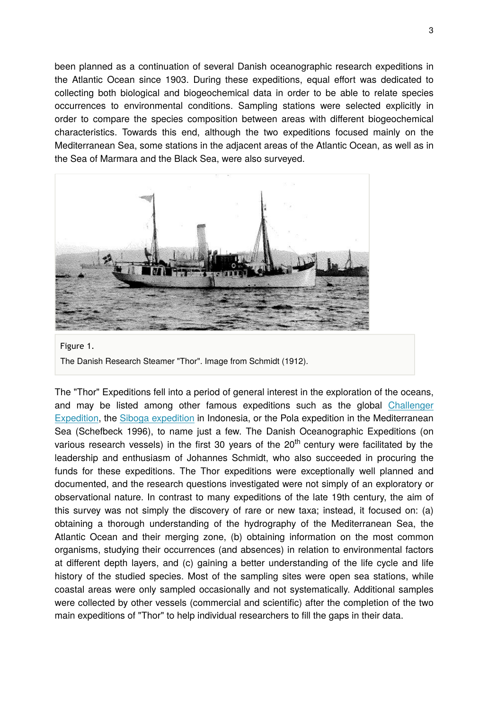been planned as a continuation of several Danish oceanographic research expeditions in the Atlantic Ocean since 1903. During these expeditions, equal effort was dedicated to collecting both biological and biogeochemical data in order to be able to relate species occurrences to environmental conditions. Sampling stations were selected explicitly in order to compare the species composition between areas with different biogeochemical characteristics. Towards this end, although the two expeditions focused mainly on the Mediterranean Sea, some stations in the adjacent areas of the Atlantic Ocean, as well as in the Sea of Marmara and the Black Sea, were also surveyed.



Figure 1. The Danish Research Steamer "Thor". Image from Schmidt (1912).

The "Thor" Expeditions fell into a period of general interest in the exploration of the oceans, and may be listed among other famous expeditions such as the global [Challenger](https://en.wikipedia.org/wiki/Challenger_expedition) [Expedition](https://en.wikipedia.org/wiki/Challenger_expedition), the [Siboga expedition](https://en.wikipedia.org/wiki/Siboga_expedition) in Indonesia, or the Pola expedition in the Mediterranean Sea (Schefbeck 1996), to name just a few. The Danish Oceanographic Expeditions (on various research vessels) in the first 30 years of the  $20<sup>th</sup>$  century were facilitated by the leadership and enthusiasm of Johannes Schmidt, who also succeeded in procuring the funds for these expeditions. The Thor expeditions were exceptionally well planned and documented, and the research questions investigated were not simply of an exploratory or observational nature. In contrast to many expeditions of the late 19th century, the aim of this survey was not simply the discovery of rare or new taxa; instead, it focused on: (a) obtaining a thorough understanding of the hydrography of the Mediterranean Sea, the Atlantic Ocean and their merging zone, (b) obtaining information on the most common organisms, studying their occurrences (and absences) in relation to environmental factors at different depth layers, and (c) gaining a better understanding of the life cycle and life history of the studied species. Most of the sampling sites were open sea stations, while coastal areas were only sampled occasionally and not systematically. Additional samples were collected by other vessels (commercial and scientific) after the completion of the two main expeditions of "Thor" to help individual researchers to fill the gaps in their data.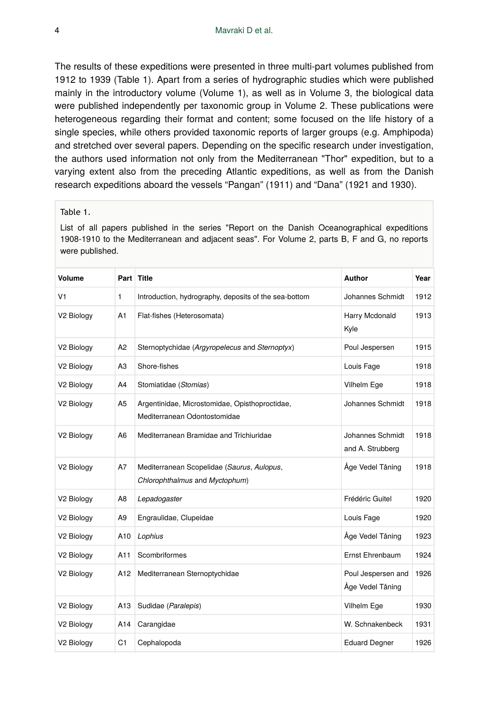The results of these expeditions were presented in three multi-part volumes published from 1912 to 1939 (Table 1). Apart from a series of hydrographic studies which were published mainly in the introductory volume (Volume 1), as well as in Volume 3, the biological data were published independently per taxonomic group in Volume 2. These publications were heterogeneous regarding their format and content; some focused on the life history of a single species, while others provided taxonomic reports of larger groups (e.g. Amphipoda) and stretched over several papers. Depending on the specific research under investigation, the authors used information not only from the Mediterranean "Thor" expedition, but to a varying extent also from the preceding Atlantic expeditions, as well as from the Danish research expeditions aboard the vessels "Pangan" (1911) and "Dana" (1921 and 1930).

#### Table 1.

List of all papers published in the series "Report on the Danish Oceanographical expeditions 1908-1910 to the Mediterranean and adjacent seas". For Volume 2, parts B, F and G, no reports were published.

| Volume                 |                | Part Title                                                                     | Author                                 | Year |
|------------------------|----------------|--------------------------------------------------------------------------------|----------------------------------------|------|
| V <sub>1</sub>         | 1              | Introduction, hydrography, deposits of the sea-bottom                          | Johannes Schmidt                       | 1912 |
| V <sub>2</sub> Biology | A1             | Flat-fishes (Heterosomata)                                                     | Harry Mcdonald<br>Kyle                 | 1913 |
| V2 Biology             | A <sub>2</sub> | Sternoptychidae (Argyropelecus and Sternoptyx)                                 | Poul Jespersen                         | 1915 |
| V <sub>2</sub> Biology | A <sub>3</sub> | Shore-fishes                                                                   | Louis Fage                             | 1918 |
| V2 Biology             | A4             | Stomiatidae (Stomias)                                                          | Vilhelm Ege                            | 1918 |
| V <sub>2</sub> Biology | A <sub>5</sub> | Argentinidae, Microstomidae, Opisthoproctidae,<br>Mediterranean Odontostomidae | Johannes Schmidt                       | 1918 |
| V2 Biology             | A <sub>6</sub> | Mediterranean Bramidae and Trichiuridae                                        | Johannes Schmidt<br>and A. Strubberg   | 1918 |
| V <sub>2</sub> Biology | A7             | Mediterranean Scopelidae (Saurus, Aulopus,<br>Chlorophthalmus and Myctophum)   | Åge Vedel Tåning                       | 1918 |
| V2 Biology             | A <sub>8</sub> | Lepadogaster                                                                   | Frédéric Guitel                        | 1920 |
| V2 Biology             | A9             | Engraulidae, Clupeidae                                                         | Louis Fage                             | 1920 |
| V <sub>2</sub> Biology | A10            | Lophius                                                                        | Åge Vedel Tåning                       | 1923 |
| V <sub>2</sub> Biology | A11            | Scombriformes                                                                  | Ernst Ehrenbaum                        | 1924 |
| V <sub>2</sub> Biology | A12            | Mediterranean Sternoptychidae                                                  | Poul Jespersen and<br>Åge Vedel Tåning | 1926 |
| V <sub>2</sub> Biology | A13            | Sudidae (Paralepis)                                                            | Vilhelm Ege                            | 1930 |
| V <sub>2</sub> Biology | A14            | Carangidae                                                                     | W. Schnakenbeck                        | 1931 |
| V2 Biology             | C <sub>1</sub> | Cephalopoda                                                                    | <b>Eduard Degner</b>                   | 1926 |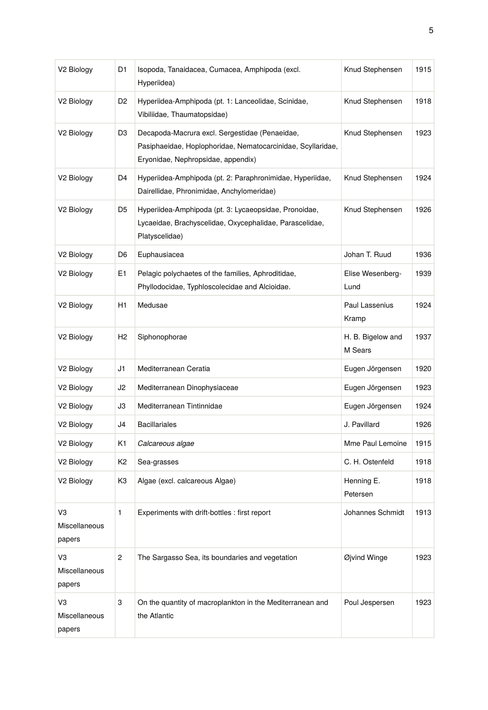| V2 Biology                    | D1             | Isopoda, Tanaidacea, Cumacea, Amphipoda (excl.<br>Hyperiidea)                                                                                       | Knud Stephensen              | 1915 |
|-------------------------------|----------------|-----------------------------------------------------------------------------------------------------------------------------------------------------|------------------------------|------|
| V <sub>2</sub> Biology        | D2             | Hyperiidea-Amphipoda (pt. 1: Lanceolidae, Scinidae,<br>Vibiliidae, Thaumatopsidae)                                                                  | Knud Stephensen              | 1918 |
| V2 Biology                    | D3             | Decapoda-Macrura excl. Sergestidae (Penaeidae,<br>Pasiphaeidae, Hoplophoridae, Nematocarcinidae, Scyllaridae,<br>Eryonidae, Nephropsidae, appendix) | Knud Stephensen              | 1923 |
| V2 Biology                    | D4             | Hyperiidea-Amphipoda (pt. 2: Paraphronimidae, Hyperiidae,<br>Dairellidae, Phronimidae, Anchylomeridae)                                              | Knud Stephensen              | 1924 |
| V <sub>2</sub> Biology        | D5             | Hyperiidea-Amphipoda (pt. 3: Lycaeopsidae, Pronoidae,<br>Lycaeidae, Brachyscelidae, Oxycephalidae, Parascelidae,<br>Platyscelidae)                  | Knud Stephensen              | 1926 |
| V <sub>2</sub> Biology        | D6             | Euphausiacea                                                                                                                                        | Johan T. Ruud                | 1936 |
| V2 Biology                    | E1             | Pelagic polychaetes of the families, Aphroditidae,<br>Phyllodocidae, Typhloscolecidae and Alcioidae.                                                | Elise Wesenberg-<br>Lund     | 1939 |
| V2 Biology                    | H <sub>1</sub> | Medusae                                                                                                                                             | Paul Lassenius<br>Kramp      | 1924 |
| V <sub>2</sub> Biology        | H <sub>2</sub> | Siphonophorae                                                                                                                                       | H. B. Bigelow and<br>M Sears | 1937 |
| V2 Biology                    | J1             | Mediterranean Ceratia                                                                                                                               | Eugen Jörgensen              | 1920 |
| V2 Biology                    | J2             | Mediterranean Dinophysiaceae                                                                                                                        | Eugen Jörgensen              | 1923 |
| V2 Biology                    | JЗ             | Mediterranean Tintinnidae                                                                                                                           | Eugen Jörgensen              | 1924 |
| V2 Biology                    | J4             | <b>Bacillariales</b>                                                                                                                                | J. Pavillard                 | 1926 |
| V2 Biology                    | K1             | Calcareous algae                                                                                                                                    | Mme Paul Lemoine             | 1915 |
| V2 Biology                    | K2             | Sea-grasses                                                                                                                                         | C. H. Ostenfeld              | 1918 |
| V2 Biology                    | KЗ             | Algae (excl. calcareous Algae)                                                                                                                      | Henning E.<br>Petersen       | 1918 |
| VЗ<br>Miscellaneous<br>papers | 1              | Experiments with drift-bottles : first report                                                                                                       | Johannes Schmidt             | 1913 |
| V3<br>Miscellaneous<br>papers | 2              | The Sargasso Sea, its boundaries and vegetation                                                                                                     | Øjvind Winge                 | 1923 |
| V3<br>Miscellaneous<br>papers | 3              | On the quantity of macroplankton in the Mediterranean and<br>the Atlantic                                                                           | Poul Jespersen               | 1923 |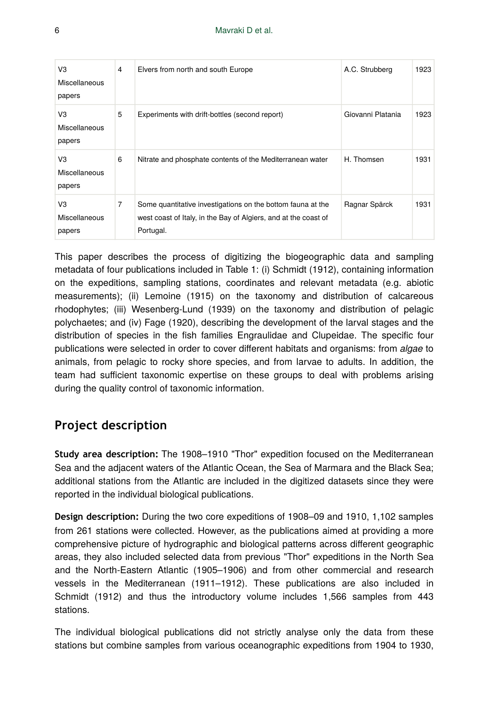| V3<br><b>Miscellaneous</b><br>papers | 4 | Elvers from north and south Europe                                                                                                          | A.C. Strubberg    | 1923 |
|--------------------------------------|---|---------------------------------------------------------------------------------------------------------------------------------------------|-------------------|------|
| VЗ<br>Miscellaneous<br>papers        | 5 | Experiments with drift-bottles (second report)                                                                                              | Giovanni Platania | 1923 |
| V3<br>Miscellaneous<br>papers        | 6 | Nitrate and phosphate contents of the Mediterranean water                                                                                   | H. Thomsen        | 1931 |
| VЗ<br>Miscellaneous<br>papers        | 7 | Some quantitative investigations on the bottom fauna at the<br>west coast of Italy, in the Bay of Algiers, and at the coast of<br>Portugal. | Ragnar Spärck     | 1931 |

This paper describes the process of digitizing the biogeographic data and sampling metadata of four publications included in Table 1: (i) Schmidt (1912), containing information on the expeditions, sampling stations, coordinates and relevant metadata (e.g. abiotic measurements); (ii) Lemoine (1915) on the taxonomy and distribution of calcareous rhodophytes; (iii) Wesenberg-Lund (1939) on the taxonomy and distribution of pelagic polychaetes; and (iv) Fage (1920), describing the development of the larval stages and the distribution of species in the fish families Engraulidae and Clupeidae. The specific four publications were selected in order to cover different habitats and organisms: from *algae* to animals, from pelagic to rocky shore species, and from larvae to adults. In addition, the team had sufficient taxonomic expertise on these groups to deal with problems arising during the quality control of taxonomic information.

# **Project description**

**Study area description:** The 1908–1910 "Thor" expedition focused on the Mediterranean Sea and the adjacent waters of the Atlantic Ocean, the Sea of Marmara and the Black Sea; additional stations from the Atlantic are included in the digitized datasets since they were reported in the individual biological publications.

**Design description:** During the two core expeditions of 1908–09 and 1910, 1,102 samples from 261 stations were collected. However, as the publications aimed at providing a more comprehensive picture of hydrographic and biological patterns across different geographic areas, they also included selected data from previous "Thor" expeditions in the North Sea and the North-Eastern Atlantic (1905–1906) and from other commercial and research vessels in the Mediterranean (1911–1912). These publications are also included in Schmidt (1912) and thus the introductory volume includes 1,566 samples from 443 stations.

The individual biological publications did not strictly analyse only the data from these stations but combine samples from various oceanographic expeditions from 1904 to 1930,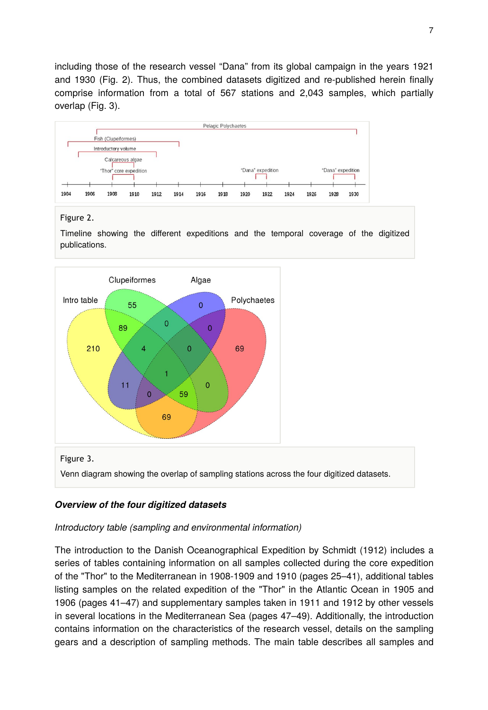including those of the research vessel "Dana" from its global campaign in the years 1921 and 1930 (Fig. 2). Thus, the combined datasets digitized and re-published herein finally comprise information from a total of 567 stations and 2,043 samples, which partially overlap (Fig. 3).



### Figure 2.

Timeline showing the different expeditions and the temporal coverage of the digitized publications.



### *Overview of the four digitized datasets*

### *Introductory table (sampling and environmental information)*

The introduction to the Danish Oceanographical Expedition by Schmidt (1912) includes a series of tables containing information on all samples collected during the core expedition of the "Thor" to the Mediterranean in 1908-1909 and 1910 (pages 25–41), additional tables listing samples on the related expedition of the "Thor" in the Atlantic Ocean in 1905 and 1906 (pages 41–47) and supplementary samples taken in 1911 and 1912 by other vessels in several locations in the Mediterranean Sea (pages 47–49). Additionally, the introduction contains information on the characteristics of the research vessel, details on the sampling gears and a description of sampling methods. The main table describes all samples and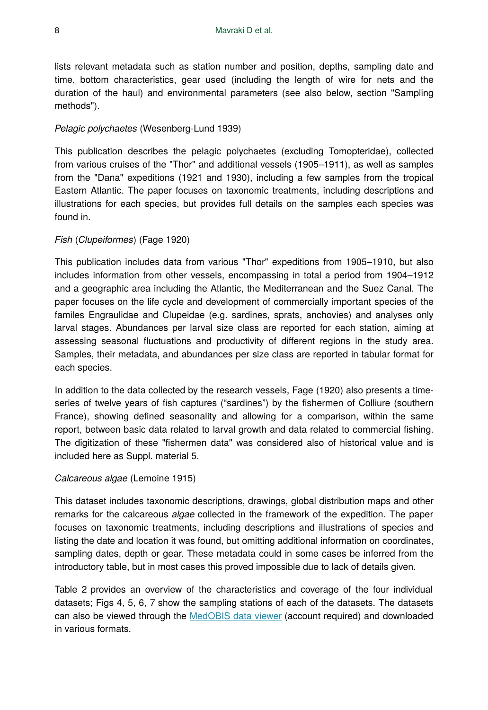lists relevant metadata such as station number and position, depths, sampling date and time, bottom characteristics, gear used (including the length of wire for nets and the duration of the haul) and environmental parameters (see also below, section "Sampling methods").

### *Pelagic polychaetes* (Wesenberg-Lund 1939)

This publication describes the pelagic polychaetes (excluding Tomopteridae), collected from various cruises of the "Thor" and additional vessels (1905–1911), as well as samples from the "Dana" expeditions (1921 and 1930), including a few samples from the tropical Eastern Atlantic. The paper focuses on taxonomic treatments, including descriptions and illustrations for each species, but provides full details on the samples each species was found in.

#### *Fish* (*Clupeiformes*) (Fage 1920)

This publication includes data from various "Thor" expeditions from 1905–1910, but also includes information from other vessels, encompassing in total a period from 1904–1912 and a geographic area including the Atlantic, the Mediterranean and the Suez Canal. The paper focuses on the life cycle and development of commercially important species of the familes Engraulidae and Clupeidae (e.g. sardines, sprats, anchovies) and analyses only larval stages. Abundances per larval size class are reported for each station, aiming at assessing seasonal fluctuations and productivity of different regions in the study area. Samples, their metadata, and abundances per size class are reported in tabular format for each species.

In addition to the data collected by the research vessels, Fage (1920) also presents a timeseries of twelve years of fish captures ("sardines") by the fishermen of Colliure (southern France), showing defined seasonality and allowing for a comparison, within the same report, between basic data related to larval growth and data related to commercial fishing. The digitization of these "fishermen data" was considered also of historical value and is included here as Suppl. material 5.

### *Calcareous algae* (Lemoine 1915)

This dataset includes taxonomic descriptions, drawings, global distribution maps and other remarks for the calcareous *algae* collected in the framework of the expedition. The paper focuses on taxonomic treatments, including descriptions and illustrations of species and listing the date and location it was found, but omitting additional information on coordinates, sampling dates, depth or gear. These metadata could in some cases be inferred from the introductory table, but in most cases this proved impossible due to lack of details given.

Table 2 provides an overview of the characteristics and coverage of the four individual datasets; Figs 4, 5, 6, 7 show the sampling stations of each of the datasets. The datasets can also be viewed through the [MedOBIS data viewer](http://medobis.portal.lifewatchgreece.eu/viewer) (account required) and downloaded in various formats.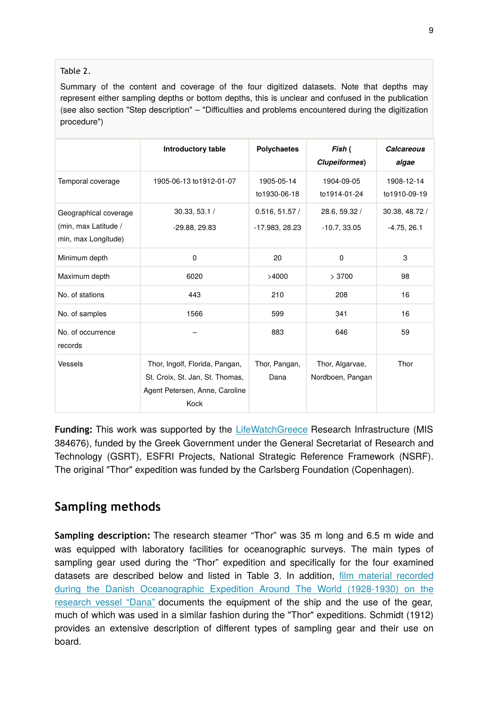### Table 2.

Summary of the content and coverage of the four digitized datasets. Note that depths may represent either sampling depths or bottom depths, this is unclear and confused in the publication (see also section "Step description" – "Difficulties and problems encountered during the digitization procedure")

|                                                                      | Introductory table                                                                                          | <b>Polychaetes</b>              | Fish (<br><b>Clupeiformes</b> )     | <b>Calcareous</b><br>algae      |
|----------------------------------------------------------------------|-------------------------------------------------------------------------------------------------------------|---------------------------------|-------------------------------------|---------------------------------|
| Temporal coverage                                                    | 1905-06-13 to 1912-01-07                                                                                    | 1905-05-14<br>to1930-06-18      | 1904-09-05<br>to1914-01-24          | 1908-12-14<br>to1910-09-19      |
| Geographical coverage<br>(min, max Latitude /<br>min, max Longitude) | 30.33, 53.1 /<br>-29.88, 29.83                                                                              | 0.516, 51.57/<br>-17.983, 28.23 | 28.6, 59.32 /<br>$-10.7, 33.05$     | 30.38, 48.72 /<br>$-4.75, 26.1$ |
| Minimum depth                                                        | $\mathbf 0$                                                                                                 | 20                              | $\mathbf 0$                         | 3                               |
| Maximum depth                                                        | 6020                                                                                                        | >4000                           | >3700                               | 98                              |
| No. of stations                                                      | 443                                                                                                         | 210                             | 208                                 | 16                              |
| No. of samples                                                       | 1566                                                                                                        | 599                             | 341                                 | 16                              |
| No. of occurrence<br>records                                         |                                                                                                             | 883                             | 646                                 | 59                              |
| Vessels                                                              | Thor, Ingolf, Florida, Pangan,<br>St. Croix, St. Jan, St. Thomas,<br>Agent Petersen, Anne, Caroline<br>Kock | Thor, Pangan,<br>Dana           | Thor, Algarvae,<br>Nordboen, Pangan | Thor                            |

**Funding:** This work was supported by the [LifeWatchGreece](https://www.lifewatchgreece.eu/) Research Infrastructure (MIS 384676), funded by the Greek Government under the General Secretariat of Research and Technology (GSRT), ESFRI Projects, National Strategic Reference Framework (NSRF). The original "Thor" expedition was funded by the Carlsberg Foundation (Copenhagen).

# **Sampling methods**

**Sampling description:** The research steamer "Thor" was 35 m long and 6.5 m wide and was equipped with laboratory facilities for oceanographic surveys. The main types of sampling gear used during the "Thor" expedition and specifically for the four examined datasets are described below and listed in Table 3. In addition, fi[lm material recorded](https://www.youtube.com/watch?v=4ZVx261JH1E) [during the Danish Oceanographic Expedition Around The World \(1928-1930\) on the](https://www.youtube.com/watch?v=4ZVx261JH1E) [research vessel "Dana"](https://www.youtube.com/watch?v=4ZVx261JH1E) documents the equipment of the ship and the use of the gear, much of which was used in a similar fashion during the "Thor" expeditions. Schmidt (1912) provides an extensive description of different types of sampling gear and their use on board.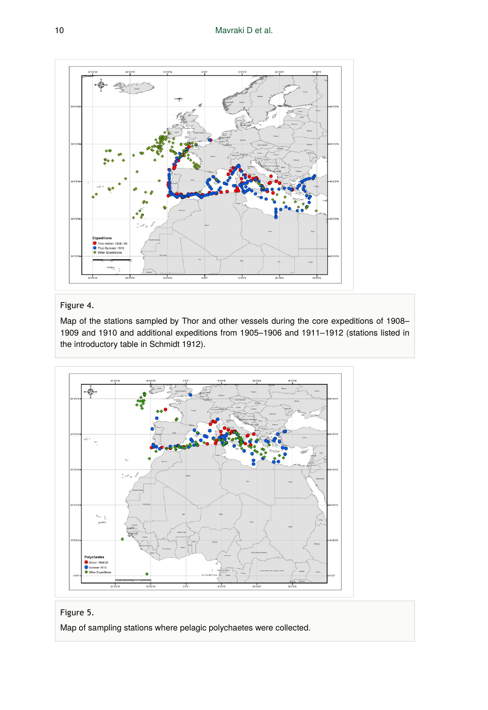

# Figure 4.

Map of the stations sampled by Thor and other vessels during the core expeditions of 1908– 1909 and 1910 and additional expeditions from 1905–1906 and 1911–1912 (stations listed in the introductory table in Schmidt 1912).





Map of sampling stations where pelagic polychaetes were collected.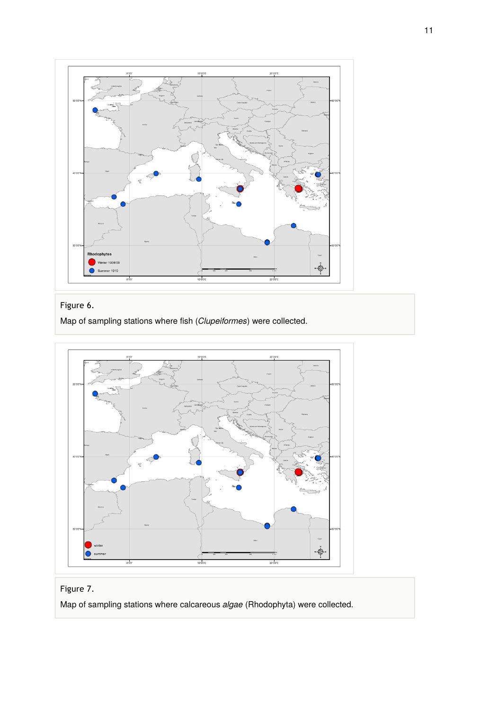

# Figure 6.

Map of sampling stations where fish (*Clupeiformes*) were collected.



# Figure 7.

Map of sampling stations where calcareous *algae* (Rhodophyta) were collected.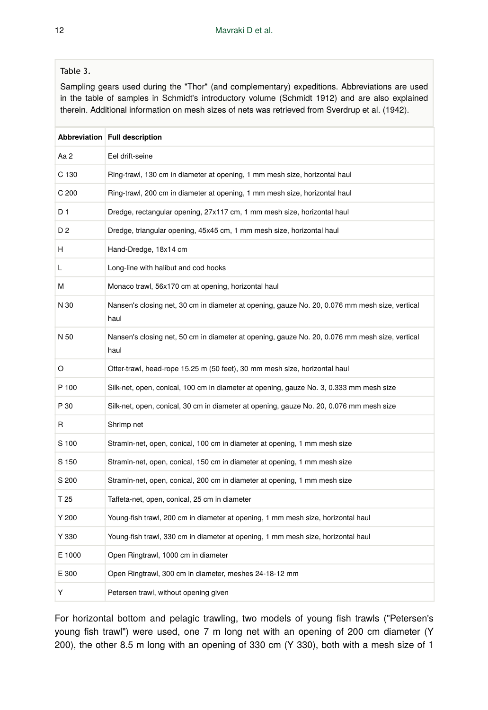### Table 3.

Sampling gears used during the "Thor" (and complementary) expeditions. Abbreviations are used in the table of samples in Schmidt's introductory volume (Schmidt 1912) and are also explained therein. Additional information on mesh sizes of nets was retrieved from Sverdrup et al. (1942).

|                  | Abbreviation Full description                                                                          |
|------------------|--------------------------------------------------------------------------------------------------------|
| Aa 2             | Eel drift-seine                                                                                        |
| C 130            | Ring-trawl, 130 cm in diameter at opening, 1 mm mesh size, horizontal haul                             |
| C <sub>200</sub> | Ring-trawl, 200 cm in diameter at opening, 1 mm mesh size, horizontal haul                             |
| D 1              | Dredge, rectangular opening, 27x117 cm, 1 mm mesh size, horizontal haul                                |
| D <sub>2</sub>   | Dredge, triangular opening, 45x45 cm, 1 mm mesh size, horizontal haul                                  |
| н                | Hand-Dredge, 18x14 cm                                                                                  |
| L                | Long-line with halibut and cod hooks                                                                   |
| м                | Monaco trawl, 56x170 cm at opening, horizontal haul                                                    |
| N 30             | Nansen's closing net, 30 cm in diameter at opening, gauze No. 20, 0.076 mm mesh size, vertical<br>haul |
| N 50             | Nansen's closing net, 50 cm in diameter at opening, gauze No. 20, 0.076 mm mesh size, vertical<br>haul |
| O                | Otter-trawl, head-rope 15.25 m (50 feet), 30 mm mesh size, horizontal haul                             |
| P 100            | Silk-net, open, conical, 100 cm in diameter at opening, gauze No. 3, 0.333 mm mesh size                |
| P 30             | Silk-net, open, conical, 30 cm in diameter at opening, gauze No. 20, 0.076 mm mesh size                |
| R                | Shrimp net                                                                                             |
| S 100            | Stramin-net, open, conical, 100 cm in diameter at opening, 1 mm mesh size                              |
| S 150            | Stramin-net, open, conical, 150 cm in diameter at opening, 1 mm mesh size                              |
| S 200            | Stramin-net, open, conical, 200 cm in diameter at opening, 1 mm mesh size                              |
| T <sub>25</sub>  | Taffeta-net, open, conical, 25 cm in diameter                                                          |
| Y 200            | Young-fish trawl, 200 cm in diameter at opening, 1 mm mesh size, horizontal haul                       |
| Y 330            | Young-fish trawl, 330 cm in diameter at opening, 1 mm mesh size, horizontal haul                       |
| E 1000           | Open Ringtrawl, 1000 cm in diameter                                                                    |
| E 300            | Open Ringtrawl, 300 cm in diameter, meshes 24-18-12 mm                                                 |
| Y                | Petersen trawl, without opening given                                                                  |

For horizontal bottom and pelagic trawling, two models of young fish trawls ("Petersen's young fish trawl") were used, one 7 m long net with an opening of 200 cm diameter (Y 200), the other 8.5 m long with an opening of 330 cm (Y 330), both with a mesh size of 1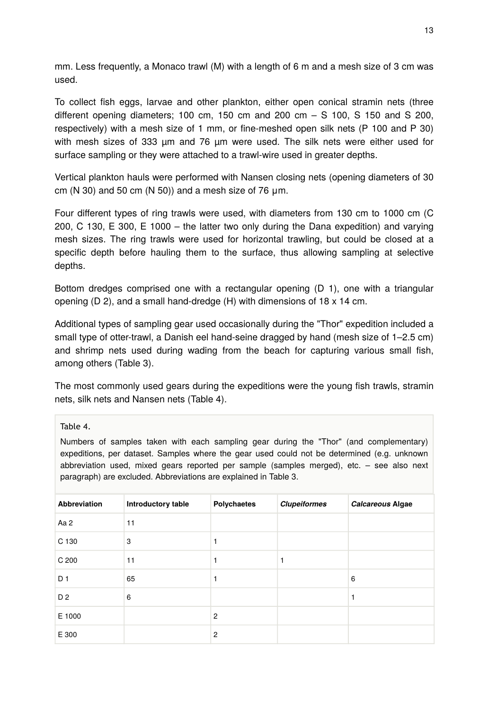mm. Less frequently, a Monaco trawl (M) with a length of 6 m and a mesh size of 3 cm was used.

To collect fish eggs, larvae and other plankton, either open conical stramin nets (three different opening diameters; 100 cm, 150 cm and 200 cm  $-$  S 100, S 150 and S 200, respectively) with a mesh size of 1 mm, or fine-meshed open silk nets (P 100 and P 30) with mesh sizes of 333 um and 76 um were used. The silk nets were either used for surface sampling or they were attached to a trawl-wire used in greater depths.

Vertical plankton hauls were performed with Nansen closing nets (opening diameters of 30 cm (N 30) and 50 cm (N 50)) and a mesh size of 76  $\mu$ m.

Four different types of ring trawls were used, with diameters from 130 cm to 1000 cm (C 200, C 130, E 300, E 1000 – the latter two only during the Dana expedition) and varying mesh sizes. The ring trawls were used for horizontal trawling, but could be closed at a specific depth before hauling them to the surface, thus allowing sampling at selective depths.

Bottom dredges comprised one with a rectangular opening (D 1), one with a triangular opening (D 2), and a small hand-dredge (H) with dimensions of 18 x 14 cm.

Additional types of sampling gear used occasionally during the "Thor" expedition included a small type of otter-trawl, a Danish eel hand-seine dragged by hand (mesh size of 1–2.5 cm) and shrimp nets used during wading from the beach for capturing various small fish, among others (Table 3).

The most commonly used gears during the expeditions were the young fish trawls, stramin nets, silk nets and Nansen nets (Table 4).

#### Table 4.

Numbers of samples taken with each sampling gear during the "Thor" (and complementary) expeditions, per dataset. Samples where the gear used could not be determined (e.g. unknown abbreviation used, mixed gears reported per sample (samples merged), etc. – see also next paragraph) are excluded. Abbreviations are explained in Table 3.

| <b>Abbreviation</b> | Introductory table | Polychaetes    | <b>Clupeiformes</b> | Calcareous Algae |
|---------------------|--------------------|----------------|---------------------|------------------|
| Aa 2                | 11                 |                |                     |                  |
| C 130               | 3                  |                |                     |                  |
| C <sub>200</sub>    | 11                 |                |                     |                  |
| D <sub>1</sub>      | 65                 |                |                     | 6                |
| D <sub>2</sub>      | 6                  |                |                     | 1                |
| E 1000              |                    | $\overline{c}$ |                     |                  |
| E 300               |                    | $\overline{c}$ |                     |                  |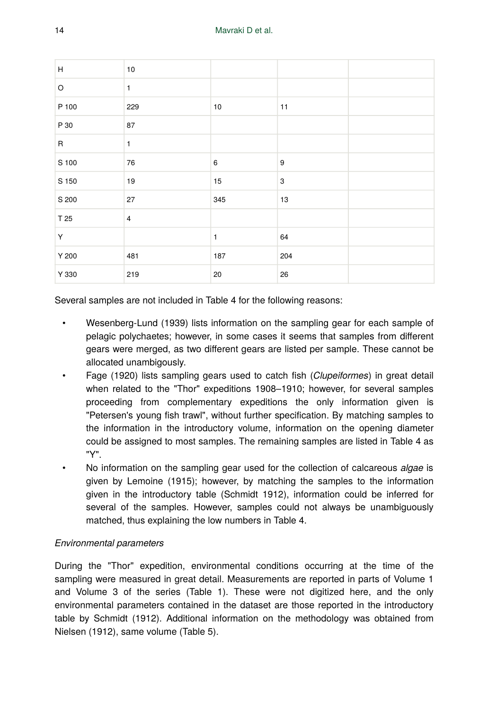| н           | 10             |              |     |  |
|-------------|----------------|--------------|-----|--|
| O           | $\mathbf{1}$   |              |     |  |
| P 100       | 229            | 10           | 11  |  |
| P 30        | 87             |              |     |  |
| $\mathsf R$ | $\mathbf{1}$   |              |     |  |
| S 100       | 76             | 6            | 9   |  |
| S 150       | 19             | 15           | 3   |  |
| S 200       | 27             | 345          | 13  |  |
| T 25        | $\overline{4}$ |              |     |  |
| Y           |                | $\mathbf{1}$ | 64  |  |
| Y 200       | 481            | 187          | 204 |  |
| Y 330       | 219            | 20           | 26  |  |

Several samples are not included in Table 4 for the following reasons:

- Wesenberg-Lund (1939) lists information on the sampling gear for each sample of pelagic polychaetes; however, in some cases it seems that samples from different gears were merged, as two different gears are listed per sample. These cannot be allocated unambigously.
- Fage (1920) lists sampling gears used to catch fish (*Clupeiformes*) in great detail when related to the "Thor" expeditions 1908–1910; however, for several samples proceeding from complementary expeditions the only information given is "Petersen's young fish trawl", without further specification. By matching samples to the information in the introductory volume, information on the opening diameter could be assigned to most samples. The remaining samples are listed in Table 4 as "Y".
- No information on the sampling gear used for the collection of calcareous *algae* is given by Lemoine (1915); however, by matching the samples to the information given in the introductory table (Schmidt 1912), information could be inferred for several of the samples. However, samples could not always be unambiguously matched, thus explaining the low numbers in Table 4.

### *Environmental parameters*

During the "Thor" expedition, environmental conditions occurring at the time of the sampling were measured in great detail. Measurements are reported in parts of Volume 1 and Volume 3 of the series (Table 1). These were not digitized here, and the only environmental parameters contained in the dataset are those reported in the introductory table by Schmidt (1912). Additional information on the methodology was obtained from Nielsen (1912), same volume (Table 5).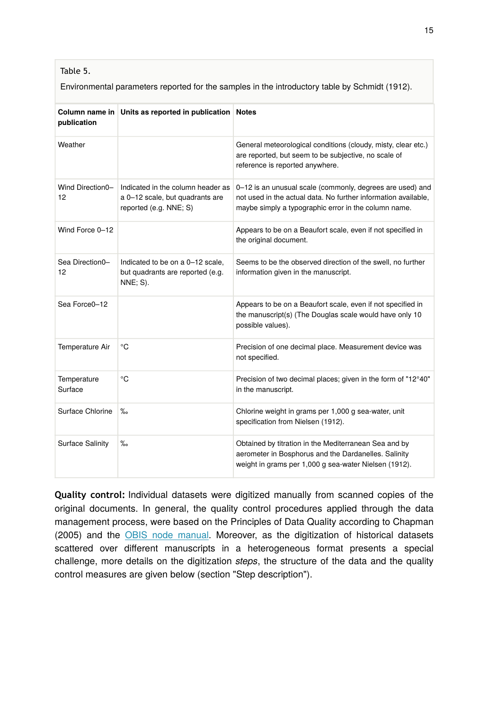### Table 5.

Environmental parameters reported for the samples in the introductory table by Schmidt (1912).

| Column name in<br>publication | Units as reported in publication Notes                                                         |                                                                                                                                                                                     |
|-------------------------------|------------------------------------------------------------------------------------------------|-------------------------------------------------------------------------------------------------------------------------------------------------------------------------------------|
| Weather                       |                                                                                                | General meteorological conditions (cloudy, misty, clear etc.)<br>are reported, but seem to be subjective, no scale of<br>reference is reported anywhere.                            |
| Wind Direction0-<br>12        | Indicated in the column header as<br>a 0-12 scale, but quadrants are<br>reported (e.g. NNE; S) | 0-12 is an unusual scale (commonly, degrees are used) and<br>not used in the actual data. No further information available,<br>maybe simply a typographic error in the column name. |
| Wind Force 0-12               |                                                                                                | Appears to be on a Beaufort scale, even if not specified in<br>the original document.                                                                                               |
| Sea Direction0-<br>12         | Indicated to be on a 0-12 scale,<br>but quadrants are reported (e.g.<br><b>NNE; S).</b>        | Seems to be the observed direction of the swell, no further<br>information given in the manuscript.                                                                                 |
| Sea Force0-12                 |                                                                                                | Appears to be on a Beaufort scale, even if not specified in<br>the manuscript(s) (The Douglas scale would have only 10<br>possible values).                                         |
| Temperature Air               | °C                                                                                             | Precision of one decimal place. Measurement device was<br>not specified.                                                                                                            |
| Temperature<br>Surface        | °C                                                                                             | Precision of two decimal places; given in the form of "12°40"<br>in the manuscript.                                                                                                 |
| Surface Chlorine              | $\%$                                                                                           | Chlorine weight in grams per 1,000 g sea-water, unit<br>specification from Nielsen (1912).                                                                                          |
| Surface Salinity              | $\%$                                                                                           | Obtained by titration in the Mediterranean Sea and by<br>aerometer in Bosphorus and the Dardanelles. Salinity<br>weight in grams per 1,000 g sea-water Nielsen (1912).              |

**Quality control:** Individual datasets were digitized manually from scanned copies of the original documents. In general, the quality control procedures applied through the data management process, were based on the Principles of Data Quality according to Chapman (2005) and the [OBIS node manual.](http://www.iode.org/index.php?option=com_oe&task=viewDocumentRecord&docID=9174) Moreover, as the digitization of historical datasets scattered over different manuscripts in a heterogeneous format presents a special challenge, more details on the digitization *steps*, the structure of the data and the quality control measures are given below (section "Step description").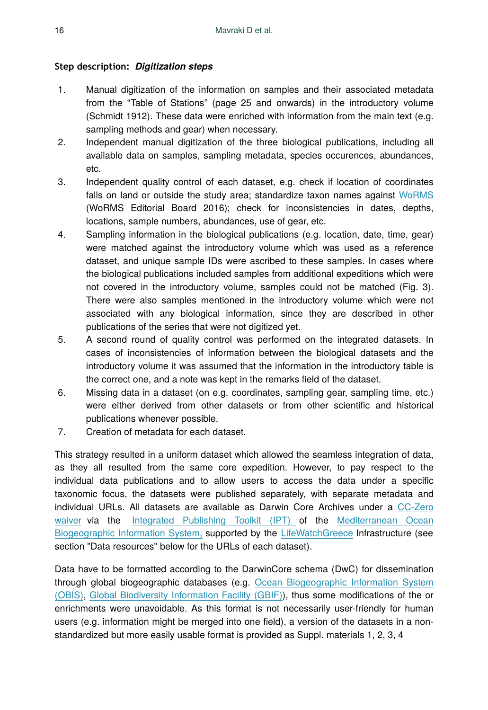### **Step description:** *Digitization steps*

- 1. Manual digitization of the information on samples and their associated metadata from the "Table of Stations" (page 25 and onwards) in the introductory volume (Schmidt 1912). These data were enriched with information from the main text (e.g. sampling methods and gear) when necessary.
- 2. Independent manual digitization of the three biological publications, including all available data on samples, sampling metadata, species occurences, abundances, etc.
- 3. Independent quality control of each dataset, e.g. check if location of coordinates falls on land or outside the study area; standardize taxon names against [WoRMS](http://marinespecies.org/) (WoRMS Editorial Board 2016); check for inconsistencies in dates, depths, locations, sample numbers, abundances, use of gear, etc.
- 4. Sampling information in the biological publications (e.g. location, date, time, gear) were matched against the introductory volume which was used as a reference dataset, and unique sample IDs were ascribed to these samples. In cases where the biological publications included samples from additional expeditions which were not covered in the introductory volume, samples could not be matched (Fig. 3). There were also samples mentioned in the introductory volume which were not associated with any biological information, since they are described in other publications of the series that were not digitized yet.
- 5. A second round of quality control was performed on the integrated datasets. In cases of inconsistencies of information between the biological datasets and the introductory volume it was assumed that the information in the introductory table is the correct one, and a note was kept in the remarks field of the dataset.
- 6. Missing data in a dataset (on e.g. coordinates, sampling gear, sampling time, etc.) were either derived from other datasets or from other scientific and historical publications whenever possible.
- 7. Creation of metadata for each dataset.

This strategy resulted in a uniform dataset which allowed the seamless integration of data, as they all resulted from the same core expedition. However, to pay respect to the individual data publications and to allow users to access the data under a specific taxonomic focus, the datasets were published separately, with separate metadata and individual URLs. All datasets are available as Darwin Core Archives under a [CC-Zero](http://creativecommons.org/choose/zero/) [waiver](http://creativecommons.org/choose/zero/) via the [Integrated Publishing Toolkit \(IPT\) o](http://ipt.medobis.eu)f the [Mediterranean Ocean](http://ipt.medobis.eu) [Biogeographic Information System,](http://ipt.medobis.eu) supported by the [LifeWatchGreece](https://www.lifewatchgreece.eu/) Infrastructure (see section "Data resources" below for the URLs of each dataset).

Data have to be formatted according to the DarwinCore schema (DwC) for dissemination through global biogeographic databases (e.g. [Ocean Biogeographic Information System](http://iobis.org) [\(OBIS\),](http://iobis.org) [Global Biodiversity Information Facility \(GBIF\)](http://gbif.org)), thus some modifications of the or enrichments were unavoidable. As this format is not necessarily user-friendly for human users (e.g. information might be merged into one field), a version of the datasets in a nonstandardized but more easily usable format is provided as Suppl. materials 1, 2, 3, 4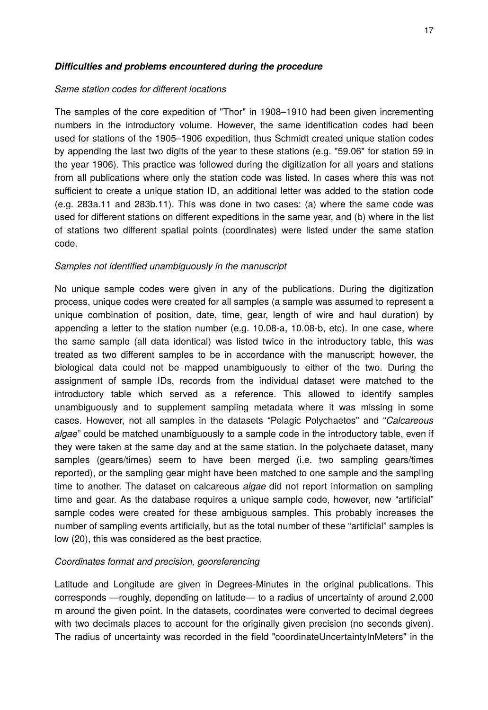#### *Difficulties and problems encountered during the procedure*

#### *Same station codes for different locations*

The samples of the core expedition of "Thor" in 1908–1910 had been given incrementing numbers in the introductory volume. However, the same identification codes had been used for stations of the 1905–1906 expedition, thus Schmidt created unique station codes by appending the last two digits of the year to these stations (e.g. "59.06" for station 59 in the year 1906). This practice was followed during the digitization for all years and stations from all publications where only the station code was listed. In cases where this was not sufficient to create a unique station ID, an additional letter was added to the station code (e.g. 283a.11 and 283b.11). This was done in two cases: (a) where the same code was used for different stations on different expeditions in the same year, and (b) where in the list of stations two different spatial points (coordinates) were listed under the same station code.

#### *Samples not identified unambiguously in the manuscript*

No unique sample codes were given in any of the publications. During the digitization process, unique codes were created for all samples (a sample was assumed to represent a unique combination of position, date, time, gear, length of wire and haul duration) by appending a letter to the station number (e.g. 10.08-a, 10.08-b, etc). In one case, where the same sample (all data identical) was listed twice in the introductory table, this was treated as two different samples to be in accordance with the manuscript; however, the biological data could not be mapped unambiguously to either of the two. During the assignment of sample IDs, records from the individual dataset were matched to the introductory table which served as a reference. This allowed to identify samples unambiguously and to supplement sampling metadata where it was missing in some cases. However, not all samples in the datasets "Pelagic Polychaetes" and "*Calcareous algae*" could be matched unambiguously to a sample code in the introductory table, even if they were taken at the same day and at the same station. In the polychaete dataset, many samples (gears/times) seem to have been merged (i.e. two sampling gears/times reported), or the sampling gear might have been matched to one sample and the sampling time to another. The dataset on calcareous *algae* did not report information on sampling time and gear. As the database requires a unique sample code, however, new "artificial" sample codes were created for these ambiguous samples. This probably increases the number of sampling events artificially, but as the total number of these "artificial" samples is low (20), this was considered as the best practice.

#### *Coordinates format and precision, georeferencing*

Latitude and Longitude are given in Degrees-Minutes in the original publications. This corresponds —roughly, depending on latitude— to a radius of uncertainty of around 2,000 m around the given point. In the datasets, coordinates were converted to decimal degrees with two decimals places to account for the originally given precision (no seconds given). The radius of uncertainty was recorded in the field "coordinateUncertaintyInMeters" in the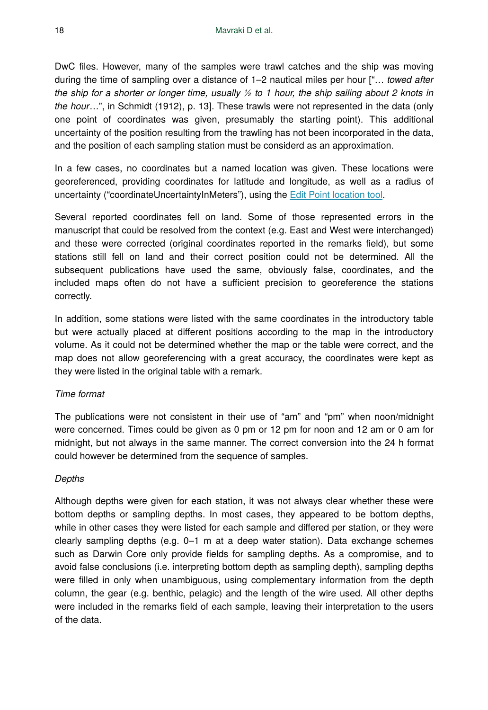DwC files. However, many of the samples were trawl catches and the ship was moving during the time of sampling over a distance of 1–2 nautical miles per hour ["… *towed after the ship for a shorter or longer time, usually ½ to 1 hour, the ship sailing about 2 knots in the hour*…", in Schmidt (1912), p. 13]. These trawls were not represented in the data (only one point of coordinates was given, presumably the starting point). This additional uncertainty of the position resulting from the trawling has not been incorporated in the data, and the position of each sampling station must be considerd as an approximation.

In a few cases, no coordinates but a named location was given. These locations were georeferenced, providing coordinates for latitude and longitude, as well as a radius of uncertainty ("coordinateUncertaintyInMeters"), using the [Edit Point location tool](http://bl.ocks.org/rdmpage/raw/9951904/9).

Several reported coordinates fell on land. Some of those represented errors in the manuscript that could be resolved from the context (e.g. East and West were interchanged) and these were corrected (original coordinates reported in the remarks field), but some stations still fell on land and their correct position could not be determined. All the subsequent publications have used the same, obviously false, coordinates, and the included maps often do not have a sufficient precision to georeference the stations correctly.

In addition, some stations were listed with the same coordinates in the introductory table but were actually placed at different positions according to the map in the introductory volume. As it could not be determined whether the map or the table were correct, and the map does not allow georeferencing with a great accuracy, the coordinates were kept as they were listed in the original table with a remark.

### *Time format*

The publications were not consistent in their use of "am" and "pm" when noon/midnight were concerned. Times could be given as 0 pm or 12 pm for noon and 12 am or 0 am for midnight, but not always in the same manner. The correct conversion into the 24 h format could however be determined from the sequence of samples.

### *Depths*

Although depths were given for each station, it was not always clear whether these were bottom depths or sampling depths. In most cases, they appeared to be bottom depths, while in other cases they were listed for each sample and differed per station, or they were clearly sampling depths (e.g. 0–1 m at a deep water station). Data exchange schemes such as Darwin Core only provide fields for sampling depths. As a compromise, and to avoid false conclusions (i.e. interpreting bottom depth as sampling depth), sampling depths were filled in only when unambiguous, using complementary information from the depth column, the gear (e.g. benthic, pelagic) and the length of the wire used. All other depths were included in the remarks field of each sample, leaving their interpretation to the users of the data.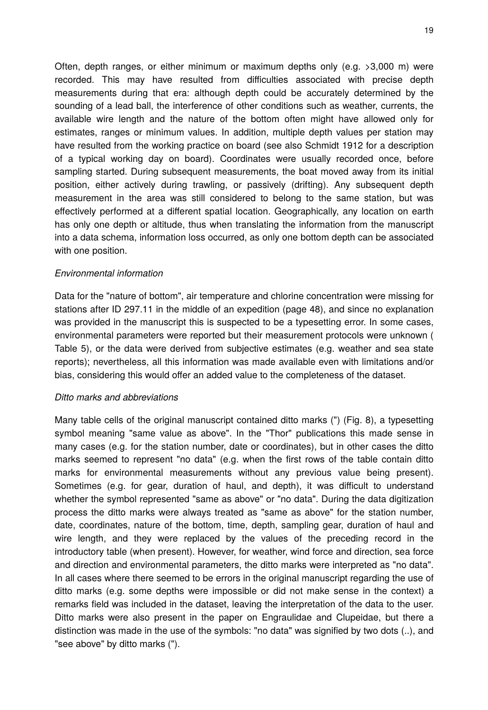Often, depth ranges, or either minimum or maximum depths only (e.g. >3,000 m) were recorded. This may have resulted from difficulties associated with precise depth measurements during that era: although depth could be accurately determined by the sounding of a lead ball, the interference of other conditions such as weather, currents, the available wire length and the nature of the bottom often might have allowed only for estimates, ranges or minimum values. In addition, multiple depth values per station may have resulted from the working practice on board (see also Schmidt 1912 for a description of a typical working day on board). Coordinates were usually recorded once, before sampling started. During subsequent measurements, the boat moved away from its initial position, either actively during trawling, or passively (drifting). Any subsequent depth measurement in the area was still considered to belong to the same station, but was effectively performed at a different spatial location. Geographically, any location on earth has only one depth or altitude, thus when translating the information from the manuscript into a data schema, information loss occurred, as only one bottom depth can be associated with one position.

#### *Environmental information*

Data for the "nature of bottom", air temperature and chlorine concentration were missing for stations after ID 297.11 in the middle of an expedition (page 48), and since no explanation was provided in the manuscript this is suspected to be a typesetting error. In some cases, environmental parameters were reported but their measurement protocols were unknown ( Table 5), or the data were derived from subjective estimates (e.g. weather and sea state reports); nevertheless, all this information was made available even with limitations and/or bias, considering this would offer an added value to the completeness of the dataset.

#### *Ditto marks and abbreviations*

Many table cells of the original manuscript contained ditto marks (") (Fig. 8), a typesetting symbol meaning "same value as above". In the "Thor" publications this made sense in many cases (e.g. for the station number, date or coordinates), but in other cases the ditto marks seemed to represent "no data" (e.g. when the first rows of the table contain ditto marks for environmental measurements without any previous value being present). Sometimes (e.g. for gear, duration of haul, and depth), it was difficult to understand whether the symbol represented "same as above" or "no data". During the data digitization process the ditto marks were always treated as "same as above" for the station number, date, coordinates, nature of the bottom, time, depth, sampling gear, duration of haul and wire length, and they were replaced by the values of the preceding record in the introductory table (when present). However, for weather, wind force and direction, sea force and direction and environmental parameters, the ditto marks were interpreted as "no data". In all cases where there seemed to be errors in the original manuscript regarding the use of ditto marks (e.g. some depths were impossible or did not make sense in the context) a remarks field was included in the dataset, leaving the interpretation of the data to the user. Ditto marks were also present in the paper on Engraulidae and Clupeidae, but there a distinction was made in the use of the symbols: "no data" was signified by two dots (..), and "see above" by ditto marks (").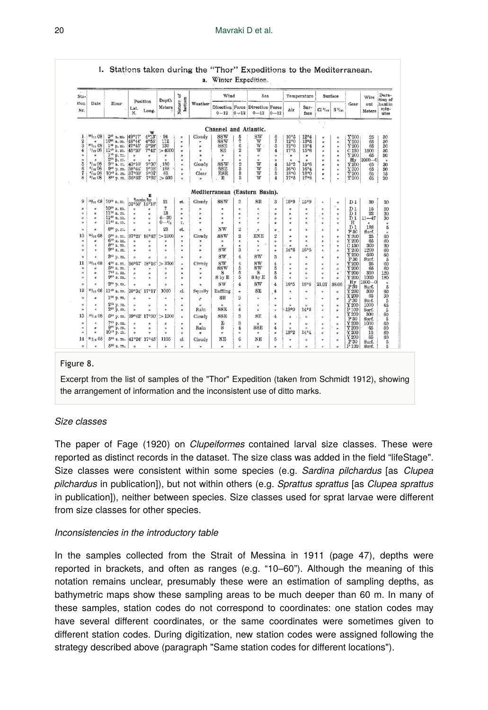| Sta-                                      |                                              |                                                            |                            |                                   | Depth                        | ă                                           |                                        | Wind                           |                                                        | Sea                                 |                                     |                           | Temperature                  |                                 | Surface                              |                             | Wire                   | Dura-<br>tion of           |
|-------------------------------------------|----------------------------------------------|------------------------------------------------------------|----------------------------|-----------------------------------|------------------------------|---------------------------------------------|----------------------------------------|--------------------------------|--------------------------------------------------------|-------------------------------------|-------------------------------------|---------------------------|------------------------------|---------------------------------|--------------------------------------|-----------------------------|------------------------|----------------------------|
| tion<br>Date<br>Hour<br>Lat.<br>Nr.<br>N. | Position<br>Meters<br>Long.                  | hottom<br>Nature                                           | Weather                    | $0 - 12$                          | $10 - 12$                    | Direction Force Direction Force<br>$0 - 12$ | $0 - 12$                               | Air                            | Sur-<br>face                                           | $Clo$ (so                           | $S0$ for                            | Gear                      | out<br>Meters                | haulin<br>min-<br>utes          |                                      |                             |                        |                            |
|                                           |                                              |                                                            |                            |                                   |                              |                                             |                                        | Channel and Atlantic.          |                                                        |                                     |                                     |                           | 5.                           |                                 |                                      |                             |                        |                            |
| T                                         | 8811108                                      | $2^{56}$ a.m.                                              | 149°17                     | 4°13'                             | 94                           | $\boldsymbol{H}$                            | Cloudy                                 | SSW                            |                                                        | SW                                  | 6                                   | 10°5                      | 12°4                         |                                 |                                      | Y200                        | 25                     |                            |
| $\overline{2}$<br>3                       | $80_{11}08$<br>1/1208                        | 10 <sup>to</sup> a.m.<br>1 <sup>16</sup> p.m.<br>1145 a.m. | 48°44'<br>47°45'           | 4°55<br>5°28                      | 112<br>130                   | $\mathbf{H}$<br>'n.                         | ×<br>w                                 | ssw<br>SSE                     | 5<br>$\scriptstyle{7}$<br>$\ddot{6}$<br>$\overline{2}$ | $\overline{W}$<br>$W$ .<br>W        | $\overline{\mathbf{r}}$<br>5        | 12°0<br>12 <sup>o</sup> 0 | 13°5<br>13°4                 | $\theta$<br>$\pmb{\sigma}$<br>n | n<br>$\theta$<br>$\boldsymbol{u}$    | Y 200<br>$\overline{Y}$ 200 | 65<br>65               | 80<br>30<br>30             |
| 4<br>$\mathbf{u}$                         | $\pmb{\pi}$                                  | 1% p. m.                                                   | 45°20'<br>$\boldsymbol{u}$ | 7°42'<br>$\mathbf{r}$             | >4000<br>$\theta$            | n<br>$\boldsymbol{h}$                       | $\theta$<br>$^{\prime}$                | SE<br>$\,$                     | $\mathbf{r}_\mathrm{f}$                                | $\mathbf{r}$                        | $\overline{4}$<br>$\mathbf{u}$      | 17°5<br>$\boldsymbol{u}$  | 15°6<br>$\mathbf{r}$         | $\theta$<br>$\theta$            | h.<br>$\theta$                       | C 130<br>Y200               | 1500<br>65             | 30<br>30                   |
| 5<br>6                                    | u<br>$^{2}$ / <sub>12</sub> 08<br>$s_{12}08$ | 200 p.m.<br>9 <sup>15</sup> a.m.<br>900 p.m.               | ٠<br>43°10'<br>38°44'      | w<br>9°30'<br>9°38                | $\overline{1}$<br>180<br>188 | u<br>$\boldsymbol{u}$<br>Ħ                  | $\mathbf{a}$<br>Cloudy<br>$\mathbf{a}$ | $\theta$<br>SSW<br><b>SSE</b>  | $\mathbf{r}$<br>os to                                  | $\boldsymbol{u}$<br>W<br>W          | $\mathbf{r}$<br>$\overline{4}$<br>5 | ù<br>15°2<br>16°0         | $\mathbf{r}$<br>15°6<br>16°4 | w<br>$\theta$<br>ır.            | Ħ<br>n<br>$\boldsymbol{u}$           | $H_y$<br>Y200<br>Y200       | $1000 - 0$<br>65<br>65 | ٠<br>30 <sub>o</sub><br>30 |
| 7<br>8                                    | $41_{12}$ 08<br>$41_{18}$ 08                 | 10 <sup>45</sup> a.m.<br>8 <sup>29</sup> p.m. 36°33'       | 37°00'                     | 9°07'<br>7°36'                    | 85<br>>600                   | $\boldsymbol{a}$<br>h.                      | Clear<br>$\boldsymbol{\eta}$           | ESE<br>E                       | 3<br>ŝ                                                 | W<br>W                              | 5<br>$\boldsymbol{4}$               | 18°0<br>17°5              | 18%<br>17°8                  | fr.<br>ù                        | $\alpha$<br>w                        | Y 200<br>Y200               | 65<br>65               | 15<br>30                   |
|                                           |                                              |                                                            |                            |                                   |                              |                                             |                                        | Mediterranean (Eastern Basin). |                                                        |                                     |                                     |                           |                              |                                 |                                      |                             |                        |                            |
| 9                                         |                                              | 14/12 08 10 <sup>00</sup> a.m.                             |                            | ĸ<br>Taermin Bay<br>37°50' 15°18' | $21\,$                       | st.                                         | Cloudy                                 | SSW                            | 2                                                      | SE                                  | 3                                   | 15°9                      | 15°9                         | $\pmb{\varkappa}$               | $\eta$                               | D1                          | 30                     | 30                         |
| n                                         | i.                                           | 10 <sup>30</sup> a.m.                                      |                            | $\pmb{v}$                         | $\overline{7}$               | $\mathbf{r}$                                | $\boldsymbol{u}$                       | ٠                              | H                                                      | $\theta$                            | $\theta$                            | $\mathbf{r}$              |                              | h.                              | $\boldsymbol{\mu}$                   | D1                          | 15                     | 30                         |
| ×<br>$\theta$                             | ĸ<br>n                                       | 11 <sup>00</sup> a.m.<br>11 <sup>80</sup> a.m.             | ٠<br>٠                     | ø<br>$\mathbf{r}$                 | 18<br>$6 - 30$               | $\mathbf{H}$<br>$\mathbf{r}_t$              | $\theta$<br>×                          | $\mathbf{r}$<br>$\mathbf{r}$   | $\theta$<br>r                                          | ù<br>$\mathbf{v}$                   | $\theta$<br>$\boldsymbol{u}$        | $\mathbf{r}$<br>$\eta$    | Ħ<br>×                       | n<br>N                          | Ħ<br>$\boldsymbol{\mu}$              | D1<br>D <sub>1</sub>        | 22<br>$11 - 47$        | 30<br>30                   |
| ×                                         | ø.                                           | 1145 a.m.                                                  | ٠                          | ×                                 | $0 - 1$ <sub>2</sub>         | r.                                          | w                                      | $\mathbf{u}$                   | ×                                                      | $\mathbf{r}$                        | fe                                  | $\theta$                  | 'n                           | tr.                             | $\boldsymbol{n}$                     | н                           | $\blacksquare$         | $\boldsymbol{u}$           |
| ×                                         | w                                            | 8 <sup>30</sup> p.m.                                       | $\theta$                   | u                                 | 23                           | st.                                         | IJ.                                    | NW                             | $\overline{2}$                                         | $\theta$                            | $\boldsymbol{v}$                    | $\boldsymbol{u}$          | b                            | n                               | $\theta$                             | D1<br>P 30                  | 188<br>Surf.           | $\overline{5}$             |
| 10                                        | $15$ $12$ 08                                 | 5% a.m.                                                    | 37°21'                     | 16°45                             | >2100                        | h                                           | Cloudy                                 | SSW                            | $\overline{2}$                                         | ENE                                 | $\overline{2}$                      | ×                         | $\theta$                     | N                               | n                                    | Y 200                       | 25                     | $\mathbf{r}$<br>60         |
| $\theta$                                  | $\mathbf{r}$                                 | 6 <sup>10</sup> a.m.                                       | ٠                          | $\pmb{\omega}$                    | $\mathbf{r}$                 | $\mathbf{r}$                                | $\mathbf{v}$                           | $\boldsymbol{B}$               | b.                                                     | $\,$<br>$\lambda$                   | N                                   | $\bullet$                 | $\blacksquare$               | Ħ                               | $\pmb{\mu}$                          | $\bar{Y}$ 200               | 65                     | 60                         |
| $\boldsymbol{H}$<br>$\mathbf{r}$          | b<br>×                                       | 800 a.m.<br>920 a.m.                                       | $\theta$<br>$\theta$       | u<br>$\theta$                     | w<br>$\mathbf{r}$            | Ħ<br>$\mathbf{u}$                           | w<br>×                                 | $\blacksquare$<br>SW           | ×<br>3                                                 | $\boldsymbol{\mathcal{U}}$<br>$\mu$ | w<br>'n                             | $\overline{M}$<br>14°5    | $\mathbf{r}$<br>16°5         | w<br>b.                         | Ħ<br>$\boldsymbol{n}$                | C130<br>Y 200               | 300<br>1200            | $\overline{30}$<br>60      |
| u                                         | ×                                            | 345 p.m.                                                   | $\theta$                   | $\boldsymbol{u}$                  | n                            | $\boldsymbol{H}$                            | $\eta$                                 | SW                             | $\frac{4}{3}$                                          | SW                                  | 3                                   | $\mathbf{r}$              | u                            | M                               | $\theta$                             | X200<br>P30                 | 600                    | 60<br>$\bar{5}$            |
| 11                                        | $16$ <sup>18</sup>                           | 400 a.m.                                                   | 36°57'                     | 18°16'                            | >3700                        | $\boldsymbol{u}$                            | Cloudy                                 | sw                             | $\frac{4}{3}$                                          | SW                                  | 4                                   | $\boldsymbol{u}$          | 'n                           | u                               | $\eta$                               | Y200                        | Surf.<br>25            | 60                         |
| $\theta$                                  | $\boldsymbol{v}$                             | 5 <sup>25</sup> a.m.                                       | $\theta$                   | $\blacksquare$                    | $\theta$                     | w                                           | $\mathbf{r}$                           | SSW                            | 5                                                      | SW                                  | 5                                   | ٠                         | $\boldsymbol{H}$             | $\theta$                        | $\boldsymbol{B}$                     | Y 200                       | 65                     | 60                         |
| $\mathbf{u}$<br>$\theta$                  | $\boldsymbol{n}$<br>$\overline{a}$           | 700 a.m.<br>9 <sup>30</sup> a.m.                           | $\theta$<br>$\theta$       | $\boldsymbol{\sigma}$<br>×        | n<br>$\theta$                | 'n<br>$\overline{u}$                        | Ħ<br>$\mathbf{u}$                      | s<br>S by E                    | 5<br>5                                                 | S.<br>8 <sub>by E</sub>             | õ<br>5                              | ٠<br>٠                    | $\boldsymbol{u}$<br>$\theta$ | w<br>u.                         | $\boldsymbol{n}$<br>$\boldsymbol{r}$ | Y200<br>Y 200               | 300<br>1000            | 120<br>180                 |
| $\boldsymbol{v}$                          | ×                                            | $2^{50}$ p, m.                                             | $\overline{u}$             |                                   | $\mathbf{u}$                 |                                             |                                        | SW                             | $\overline{4}$                                         | SW                                  | $-4$                                | 16°5                      | 16°6                         | 21.07                           | 88.06                                | Hv                          | $1500 - 0$             | $\eta$                     |
| 12                                        | $x_0$ <sub>11</sub> 08                       | 114 <sup>c</sup> a. m.                                     | 39°34'                     | $\pmb{u}$<br>17°17'               | 1060                         | N<br>el.                                    | h,<br>Squally                          | Baffling                       | $\theta$                                               | SE                                  | $\overline{4}$                      | $\theta_{\rm c}$          | $\boldsymbol{u}$             | $\mathbf{u}$                    | $\boldsymbol{u}$                     | $P_{0}$<br>Y200             | Surf.<br>300           | 5<br>60                    |
| $\boldsymbol{\eta}$                       | $\theta$                                     | 1 <sup>00</sup> p.m.                                       | b.                         | $\scriptstyle\rm H$               | $\mathbf{r}$                 | N                                           | p                                      | SE                             | 3                                                      | $\eta$                              | $\bar{\pi}$                         | $\alpha$                  | $\overline{u}$               | $\mathbf{a}$                    | $\boldsymbol{H}$                     | ¥200                        | 65                     | $\frac{30}{5}$             |
| $\theta$                                  | ٠                                            | 2 <sup>15</sup> p.m.                                       | $\mathbf{a}$               | $\pmb{u}$                         | ×                            | $\boldsymbol{u}$                            | $\theta$                               | $\boldsymbol{u}$               | $\theta$                                               | $\boldsymbol{u}$                    | Ħ                                   | ٠                         | $\boldsymbol{u}$             | h.                              | $\pmb{r}_{\pmb{r}}$                  | P.30<br>Y200                | Surf.<br>1000          | 45                         |
| $\ddot{}$                                 | ×                                            | 2 <sup>20</sup> p.m.                                       | $\theta$                   | $\theta$                          | $\overline{u}$               | $\mathbf{w}$                                | Rain                                   | SSE                            | $\overline{4}$                                         | $\mathbf{a}$                        | ×                                   | 13°0                      | 14°2                         | $\boldsymbol{H}$                | $\boldsymbol{u}$                     | P <sub>100</sub>            | Surf.                  | $\overline{5}$             |
| 18                                        | $19$ <sub>12</sub> 08                        | 5 <sup>55</sup> p.m.                                       | 39°43'                     | 17°30'                            | >1200                        | $\pmb{\varkappa}$                           | Cloudy                                 | <b>SSE</b>                     | 3                                                      | SE                                  | 4                                   | $\overline{a}$            | $\boldsymbol{u}$             | $\mathbf{r}$                    | Ħ                                    | Y 200<br>P30                | 300<br>Surf.           | 60<br>$\overline{5}$       |
| $\boldsymbol{H}$                          | $\mathbf{v}$                                 | 705 p.m.                                                   | $\theta$                   | $\boldsymbol{v}$                  | $\boldsymbol{H}$             | Ħ                                           | $\boldsymbol{u}$                       | E                              | $\overline{B}$                                         | $\boldsymbol{\sigma}$               | $\mathbf{r}$                        | ×                         | u                            | $\boldsymbol{\mu}$              | $\mathbf{r}$                         | Y 200                       | 1000                   | 60                         |
| $\mathbf{u}$                              | ø                                            | 8 <sup>60</sup> p.m.                                       | $\boldsymbol{u}$           | $\ddot{\phantom{a}}$              | $\boldsymbol{u}$             | $\boldsymbol{H}$                            | Rain                                   | s                              | 4                                                      | <b>SSE</b>                          | 4                                   | $\alpha$                  | $\theta$                     | $\mathbf{r}$                    | $\boldsymbol{\mu}$                   | $\bar{Y}$ 200               | $-65$                  | 60                         |
| Ħ                                         | è                                            | 10 <sup>15</sup> p. m.                                     |                            |                                   | $\theta$                     | $\boldsymbol{\theta}$                       | $\boldsymbol{\eta}$                    | $\boldsymbol{H}$               | $\pmb{\mathsf{u}}$                                     | $\mathbf{r}$                        | $\overline{\omega}$                 | 18°2                      | 14°4                         | u                               | Ħ                                    | Y 200<br>Y200               | 15<br>65               | 60<br>60                   |
| 14                                        | $21_{12}08$                                  | 5 <sup>00</sup> a.m. 41°24' 17°45'                         |                            |                                   | 1125                         | cl.                                         | Cloudy                                 | NE                             | 6                                                      | N <sub>E</sub>                      | 5                                   | $\boldsymbol{\theta}$     | $\boldsymbol{u}$             | n                               | $\boldsymbol{\mu}$                   | P 30                        | Surf.                  | $\tilde{5}$                |
| $\boldsymbol{u}$                          | u.                                           | 5 <sup>20</sup> a. m.                                      | $\overline{a}$             | $\mathbf{v}$                      | $\mathbf{r}$                 | u                                           | $\theta$                               | $\theta$                       | $\overline{a}$                                         | $\theta$                            |                                     |                           |                              | u                               | $\theta$                             | P <sub>100</sub>            | Surf.                  | $\overline{5}$             |

#### 1. Stations taken during the "Thor" Expeditions to the Mediterranean. a. Winter Exnedition

#### Figure 8.

Excerpt from the list of samples of the "Thor" Expedition (taken from Schmidt 1912), showing the arrangement of information and the inconsistent use of ditto marks.

#### *Size classes*

The paper of Fage (1920) on *Clupeiformes* contained larval size classes. These were reported as distinct records in the dataset. The size class was added in the field "lifeStage". Size classes were consistent within some species (e.g. *Sardina pilchardus* [as *Clupea pilchardus* in publication]), but not within others (e.g. *Sprattus sprattus* [as *Clupea sprattus* in publication]), neither between species. Size classes used for sprat larvae were different from size classes for other species.

#### *Inconsistencies in the introductory table*

In the samples collected from the Strait of Messina in 1911 (page 47), depths were reported in brackets, and often as ranges (e.g. "10–60"). Although the meaning of this notation remains unclear, presumably these were an estimation of sampling depths, as bathymetric maps show these sampling areas to be much deeper than 60 m. In many of these samples, station codes do not correspond to coordinates: one station codes may have several different coordinates, or the same coordinates were sometimes given to different station codes. During digitization, new station codes were assigned following the strategy described above (paragraph "Same station codes for different locations").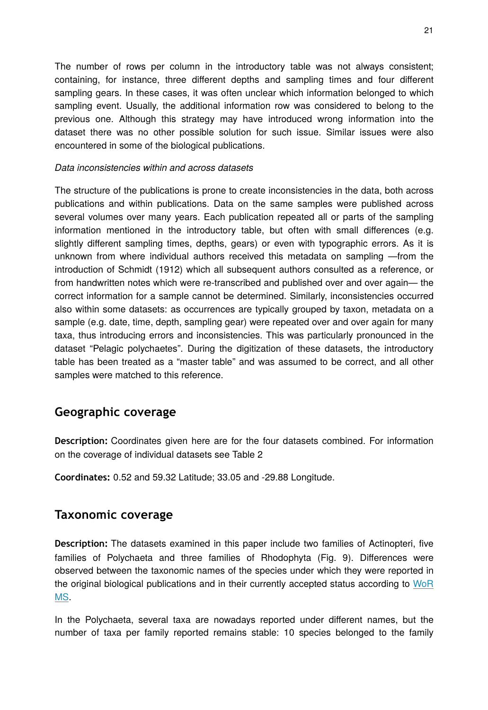The number of rows per column in the introductory table was not always consistent; containing, for instance, three different depths and sampling times and four different sampling gears. In these cases, it was often unclear which information belonged to which sampling event. Usually, the additional information row was considered to belong to the previous one. Although this strategy may have introduced wrong information into the dataset there was no other possible solution for such issue. Similar issues were also encountered in some of the biological publications.

#### *Data inconsistencies within and across datasets*

The structure of the publications is prone to create inconsistencies in the data, both across publications and within publications. Data on the same samples were published across several volumes over many years. Each publication repeated all or parts of the sampling information mentioned in the introductory table, but often with small differences (e.g. slightly different sampling times, depths, gears) or even with typographic errors. As it is unknown from where individual authors received this metadata on sampling —from the introduction of Schmidt (1912) which all subsequent authors consulted as a reference, or from handwritten notes which were re-transcribed and published over and over again— the correct information for a sample cannot be determined. Similarly, inconsistencies occurred also within some datasets: as occurrences are typically grouped by taxon, metadata on a sample (e.g. date, time, depth, sampling gear) were repeated over and over again for many taxa, thus introducing errors and inconsistencies. This was particularly pronounced in the dataset "Pelagic polychaetes". During the digitization of these datasets, the introductory table has been treated as a "master table" and was assumed to be correct, and all other samples were matched to this reference.

# **Geographic coverage**

**Description:** Coordinates given here are for the four datasets combined. For information on the coverage of individual datasets see Table 2

**Coordinates:** 0.52 and 59.32 Latitude; 33.05 and -29.88 Longitude.

# **Taxonomic coverage**

**Description:** The datasets examined in this paper include two families of Actinopteri, five families of Polychaeta and three families of Rhodophyta (Fig. 9). Differences were observed between the taxonomic names of the species under which they were reported in the original biological publications and in their currently accepted status according to [WoR](http://marinespecies.org/) [MS.](http://marinespecies.org/)

In the Polychaeta, several taxa are nowadays reported under different names, but the number of taxa per family reported remains stable: 10 species belonged to the family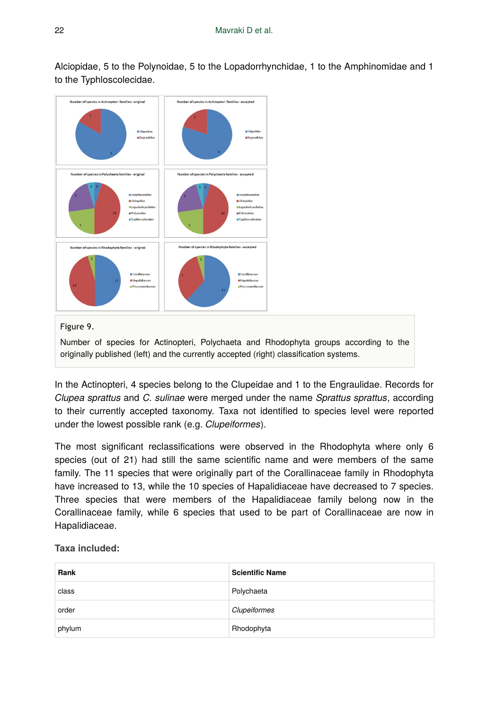Alciopidae, 5 to the Polynoidae, 5 to the Lopadorrhynchidae, 1 to the Amphinomidae and 1 to the Typhloscolecidae.



Figure 9.

Number of species for Actinopteri, Polychaeta and Rhodophyta groups according to the originally published (left) and the currently accepted (right) classification systems.

In the Actinopteri, 4 species belong to the Clupeidae and 1 to the Engraulidae. Records for *Clupea sprattus* and *C. sulinae* were merged under the name *Sprattus sprattus*, according to their currently accepted taxonomy. Taxa not identified to species level were reported under the lowest possible rank (e.g. *Clupeiformes*).

The most significant reclassifications were observed in the Rhodophyta where only 6 species (out of 21) had still the same scientific name and were members of the same family. The 11 species that were originally part of the Corallinaceae family in Rhodophyta have increased to 13, while the 10 species of Hapalidiaceae have decreased to 7 species. Three species that were members of the Hapalidiaceae family belong now in the Corallinaceae family, while 6 species that used to be part of Corallinaceae are now in Hapalidiaceae.

**Taxa included:**

| Rank   | <b>Scientific Name</b> |
|--------|------------------------|
| class  | Polychaeta             |
| order  | Clupeiformes           |
| phylum | Rhodophyta             |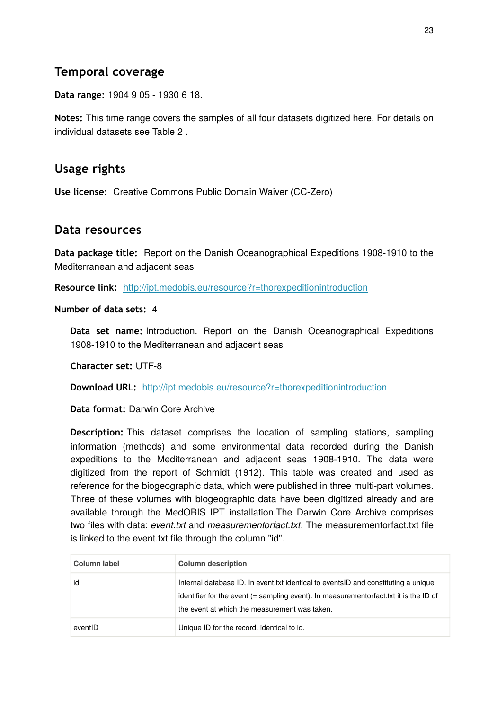# **Temporal coverage**

**Data range:** 1904 9 05 - 1930 6 18.

**Notes:** This time range covers the samples of all four datasets digitized here. For details on individual datasets see Table 2 .

# **Usage rights**

**Use license:** Creative Commons Public Domain Waiver (CC-Zero)

## **Data resources**

**Data package title:** Report on the Danish Oceanographical Expeditions 1908-1910 to the Mediterranean and adjacent seas

**Resource link:** <http://ipt.medobis.eu/resource?r=thorexpeditionintroduction>

**Number of data sets:** 4

**Data set name:** Introduction. Report on the Danish Oceanographical Expeditions 1908-1910 to the Mediterranean and adjacent seas

**Character set:** UTF-8

**Download URL:** <http://ipt.medobis.eu/resource?r=thorexpeditionintroduction>

**Data format:** Darwin Core Archive

**Description:** This dataset comprises the location of sampling stations, sampling information (methods) and some environmental data recorded during the Danish expeditions to the Mediterranean and adjacent seas 1908-1910. The data were digitized from the report of Schmidt (1912). This table was created and used as reference for the biogeographic data, which were published in three multi-part volumes. Three of these volumes with biogeographic data have been digitized already and are available through the MedOBIS IPT installation.The Darwin Core Archive comprises two files with data: *event.txt* and *measurementorfact.txt*. The measurementorfact.txt file is linked to the event.txt file through the column "id".

| Column label | <b>Column description</b>                                                                                                                                                                                                     |
|--------------|-------------------------------------------------------------------------------------------------------------------------------------------------------------------------------------------------------------------------------|
| id           | Internal database ID. In event txt identical to events ID and constituting a unique<br>identifier for the event (= sampling event). In measurementorfact.txt it is the ID of<br>the event at which the measurement was taken. |
| eventID      | Unique ID for the record, identical to id.                                                                                                                                                                                    |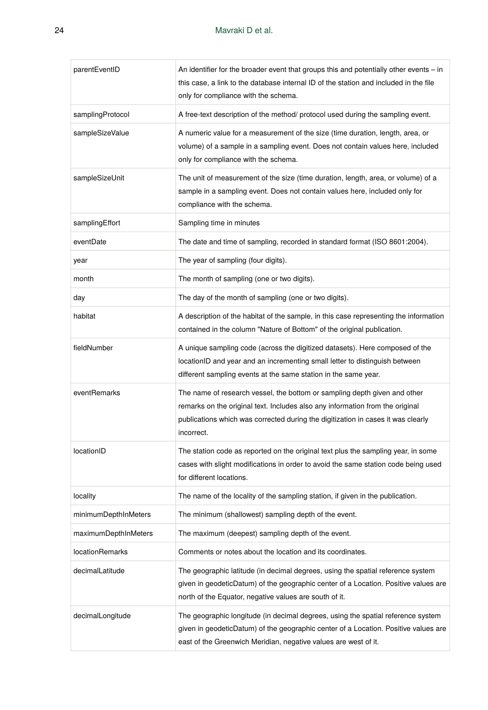| parentEventID          | An identifier for the broader event that groups this and potentially other events – in<br>this case, a link to the database internal ID of the station and included in the file<br>only for compliance with the schema.                                      |
|------------------------|--------------------------------------------------------------------------------------------------------------------------------------------------------------------------------------------------------------------------------------------------------------|
| samplingProtocol       | A free-text description of the method/ protocol used during the sampling event.                                                                                                                                                                              |
| sampleSizeValue        | A numeric value for a measurement of the size (time duration, length, area, or<br>volume) of a sample in a sampling event. Does not contain values here, included<br>only for compliance with the schema.                                                    |
| sampleSizeUnit         | The unit of measurement of the size (time duration, length, area, or volume) of a<br>sample in a sampling event. Does not contain values here, included only for<br>compliance with the schema.                                                              |
| samplingEffort         | Sampling time in minutes                                                                                                                                                                                                                                     |
| eventDate              | The date and time of sampling, recorded in standard format (ISO 8601:2004).                                                                                                                                                                                  |
| year                   | The year of sampling (four digits).                                                                                                                                                                                                                          |
| month                  | The month of sampling (one or two digits).                                                                                                                                                                                                                   |
| day                    | The day of the month of sampling (one or two digits).                                                                                                                                                                                                        |
| habitat                | A description of the habitat of the sample, in this case representing the information<br>contained in the column "Nature of Bottom" of the original publication.                                                                                             |
| fieldNumber            | A unique sampling code (across the digitized datasets). Here composed of the<br>locationID and year and an incrementing small letter to distinguish between<br>different sampling events at the same station in the same year.                               |
| eventRemarks           | The name of research vessel, the bottom or sampling depth given and other<br>remarks on the original text. Includes also any information from the original<br>publications which was corrected during the digitization in cases it was clearly<br>incorrect. |
| locationID             | The station code as reported on the original text plus the sampling year, in some<br>cases with slight modifications in order to avoid the same station code being used<br>for different locations.                                                          |
| locality               | The name of the locality of the sampling station, if given in the publication.                                                                                                                                                                               |
| minimumDepthInMeters   | The minimum (shallowest) sampling depth of the event.                                                                                                                                                                                                        |
| maximumDepthInMeters   | The maximum (deepest) sampling depth of the event.                                                                                                                                                                                                           |
| <b>locationRemarks</b> | Comments or notes about the location and its coordinates.                                                                                                                                                                                                    |
| decimalLatitude        | The geographic latitude (in decimal degrees, using the spatial reference system<br>given in geodeticDatum) of the geographic center of a Location. Positive values are<br>north of the Equator, negative values are south of it.                             |
| decimalLongitude       | The geographic longitude (in decimal degrees, using the spatial reference system<br>given in geodeticDatum) of the geographic center of a Location. Positive values are<br>east of the Greenwich Meridian, negative values are west of it.                   |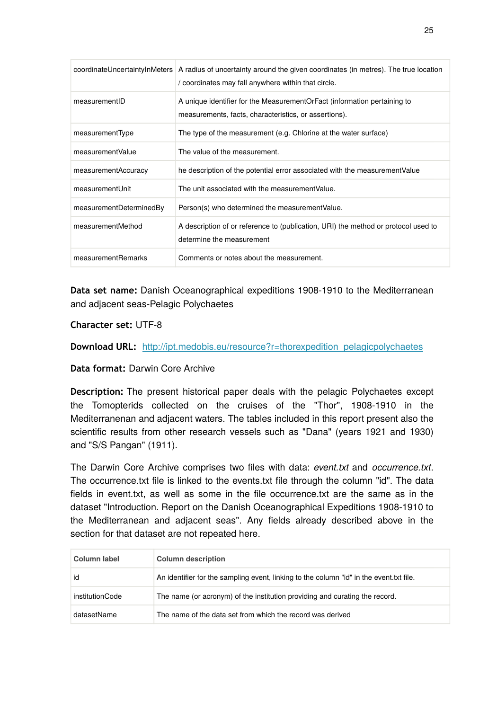|                         | coordinateUncertaintyInMeters   A radius of uncertainty around the given coordinates (in metres). The true location<br>/ coordinates may fall anywhere within that circle. |
|-------------------------|----------------------------------------------------------------------------------------------------------------------------------------------------------------------------|
| measurementID           | A unique identifier for the MeasurementOrFact (information pertaining to<br>measurements, facts, characteristics, or assertions).                                          |
| measurementType         | The type of the measurement (e.g. Chlorine at the water surface)                                                                                                           |
| measurementValue        | The value of the measurement.                                                                                                                                              |
| measurementAccuracy     | he description of the potential error associated with the measurement Value                                                                                                |
| measurementUnit         | The unit associated with the measurement Value.                                                                                                                            |
| measurementDeterminedBy | Person(s) who determined the measurement Value.                                                                                                                            |
| measurementMethod       | A description of or reference to (publication, URI) the method or protocol used to<br>determine the measurement                                                            |
| measurementRemarks      | Comments or notes about the measurement.                                                                                                                                   |

**Data set name:** Danish Oceanographical expeditions 1908-1910 to the Mediterranean and adjacent seas-Pelagic Polychaetes

### **Character set:** UTF-8

**Download URL:** [http://ipt.medobis.eu/resource?r=thorexpedition\\_pelagicpolychaetes](http://ipt.medobis.eu/resource?r=thorexpedition_pelagicpolychaetes)

### **Data format:** Darwin Core Archive

**Description:** The present historical paper deals with the pelagic Polychaetes except the Tomopterids collected on the cruises of the "Thor", 1908-1910 in the Mediterranenan and adjacent waters. The tables included in this report present also the scientific results from other research vessels such as "Dana" (years 1921 and 1930) and "S/S Pangan" (1911).

The Darwin Core Archive comprises two files with data: *event.txt* and *occurrence.txt*. The occurrence.txt file is linked to the events.txt file through the column "id". The data fields in event.txt, as well as some in the file occurrence.txt are the same as in the dataset "Introduction. Report on the Danish Oceanographical Expeditions 1908-1910 to the Mediterranean and adjacent seas". Any fields already described above in the section for that dataset are not repeated here.

| Column label    | <b>Column description</b>                                                               |
|-----------------|-----------------------------------------------------------------------------------------|
| id              | An identifier for the sampling event, linking to the column "id" in the event.txt file. |
| institutionCode | The name (or acronym) of the institution providing and curating the record.             |
| datasetName     | The name of the data set from which the record was derived                              |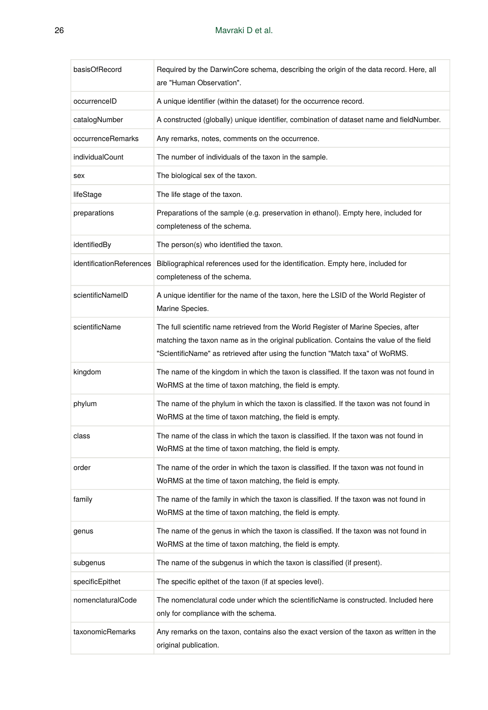| basisOfRecord            | Required by the DarwinCore schema, describing the origin of the data record. Here, all<br>are "Human Observation".                                                                                                                                              |
|--------------------------|-----------------------------------------------------------------------------------------------------------------------------------------------------------------------------------------------------------------------------------------------------------------|
| occurrenceID             | A unique identifier (within the dataset) for the occurrence record.                                                                                                                                                                                             |
| catalogNumber            | A constructed (globally) unique identifier, combination of dataset name and fieldNumber.                                                                                                                                                                        |
| occurrenceRemarks        | Any remarks, notes, comments on the occurrence.                                                                                                                                                                                                                 |
| individualCount          | The number of individuals of the taxon in the sample.                                                                                                                                                                                                           |
| sex                      | The biological sex of the taxon.                                                                                                                                                                                                                                |
| lifeStage                | The life stage of the taxon.                                                                                                                                                                                                                                    |
| preparations             | Preparations of the sample (e.g. preservation in ethanol). Empty here, included for<br>completeness of the schema.                                                                                                                                              |
| identifiedBy             | The person(s) who identified the taxon.                                                                                                                                                                                                                         |
| identificationReferences | Bibliographical references used for the identification. Empty here, included for<br>completeness of the schema.                                                                                                                                                 |
| scientificNameID         | A unique identifier for the name of the taxon, here the LSID of the World Register of<br>Marine Species.                                                                                                                                                        |
| scientificName           | The full scientific name retrieved from the World Register of Marine Species, after<br>matching the taxon name as in the original publication. Contains the value of the field<br>"ScientificName" as retrieved after using the function "Match taxa" of WoRMS. |
| kingdom                  | The name of the kingdom in which the taxon is classified. If the taxon was not found in<br>WoRMS at the time of taxon matching, the field is empty.                                                                                                             |
| phylum                   | The name of the phylum in which the taxon is classified. If the taxon was not found in<br>WoRMS at the time of taxon matching, the field is empty.                                                                                                              |
| class                    | The name of the class in which the taxon is classified. If the taxon was not found in<br>WoRMS at the time of taxon matching, the field is empty.                                                                                                               |
| order                    | The name of the order in which the taxon is classified. If the taxon was not found in<br>WoRMS at the time of taxon matching, the field is empty.                                                                                                               |
| family                   | The name of the family in which the taxon is classified. If the taxon was not found in<br>WoRMS at the time of taxon matching, the field is empty.                                                                                                              |
| genus                    | The name of the genus in which the taxon is classified. If the taxon was not found in<br>WoRMS at the time of taxon matching, the field is empty.                                                                                                               |
| subgenus                 | The name of the subgenus in which the taxon is classified (if present).                                                                                                                                                                                         |
| specificEpithet          | The specific epithet of the taxon (if at species level).                                                                                                                                                                                                        |
| nomenclaturalCode        | The nomenclatural code under which the scientificName is constructed. Included here<br>only for compliance with the schema.                                                                                                                                     |
| taxonomicRemarks         | Any remarks on the taxon, contains also the exact version of the taxon as written in the<br>original publication.                                                                                                                                               |

У.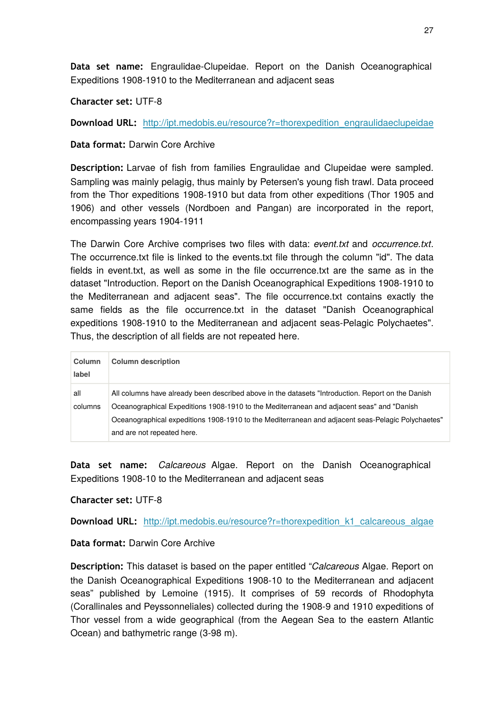**Data set name:** Engraulidae-Clupeidae. Report on the Danish Oceanographical Expeditions 1908-1910 to the Mediterranean and adjacent seas

**Character set:** UTF-8

**Download URL:** [http://ipt.medobis.eu/resource?r=thorexpedition\\_engraulidaeclupeidae](http://ipt.medobis.eu/resource?r=thorexpedition_engraulidaeclupeidae)

**Data format:** Darwin Core Archive

**Description:** Larvae of fish from families Engraulidae and Clupeidae were sampled. Sampling was mainly pelagig, thus mainly by Petersen's young fish trawl. Data proceed from the Thor expeditions 1908-1910 but data from other expeditions (Thor 1905 and 1906) and other vessels (Nordboen and Pangan) are incorporated in the report, encompassing years 1904-1911

The Darwin Core Archive comprises two files with data: *event.txt* and *occurrence.txt*. The occurrence.txt file is linked to the events.txt file through the column "id". The data fields in event.txt, as well as some in the file occurrence.txt are the same as in the dataset "Introduction. Report on the Danish Oceanographical Expeditions 1908-1910 to the Mediterranean and adjacent seas". The file occurrence.txt contains exactly the same fields as the file occurrence.txt in the dataset "Danish Oceanographical expeditions 1908-1910 to the Mediterranean and adjacent seas-Pelagic Polychaetes". Thus, the description of all fields are not repeated here.

| Column<br>label | <b>Column description</b>                                                                                                                                                                                                                                                                                                         |
|-----------------|-----------------------------------------------------------------------------------------------------------------------------------------------------------------------------------------------------------------------------------------------------------------------------------------------------------------------------------|
| all<br>columns  | All columns have already been described above in the datasets "Introduction. Report on the Danish<br>Oceanographical Expeditions 1908-1910 to the Mediterranean and adjacent seas" and "Danish<br>Oceanographical expeditions 1908-1910 to the Mediterranean and adjacent seas-Pelagic Polychaetes"<br>and are not repeated here. |

**Data set name:** *Calcareous* Algae. Report on the Danish Oceanographical Expeditions 1908-10 to the Mediterranean and adjacent seas

### **Character set:** UTF-8

**Download URL:** [http://ipt.medobis.eu/resource?r=thorexpedition\\_k1\\_calcareous\\_algae](http://ipt.medobis.eu/resource?r=thorexpedition_k1_calcareous_algae)

### **Data format:** Darwin Core Archive

**Description:** This dataset is based on the paper entitled "*Calcareous* Algae. Report on the Danish Oceanographical Expeditions 1908-10 to the Mediterranean and adjacent seas" published by Lemoine (1915). It comprises of 59 records of Rhodophyta (Corallinales and Peyssonneliales) collected during the 1908-9 and 1910 expeditions of Thor vessel from a wide geographical (from the Aegean Sea to the eastern Atlantic Ocean) and bathymetric range (3-98 m).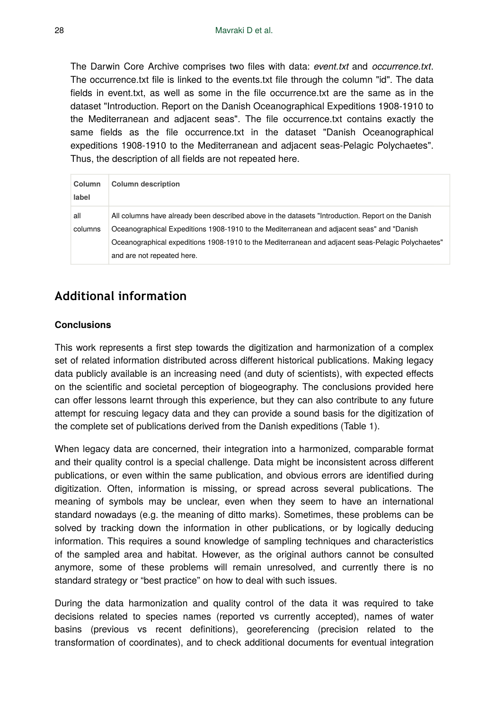The Darwin Core Archive comprises two files with data: *event.txt* and *occurrence.txt*. The occurrence.txt file is linked to the events.txt file through the column "id". The data fields in event.txt, as well as some in the file occurrence.txt are the same as in the dataset "Introduction. Report on the Danish Oceanographical Expeditions 1908-1910 to the Mediterranean and adjacent seas". The file occurrence.txt contains exactly the same fields as the file occurrence.txt in the dataset "Danish Oceanographical expeditions 1908-1910 to the Mediterranean and adjacent seas-Pelagic Polychaetes". Thus, the description of all fields are not repeated here.

| Column<br>label | <b>Column description</b>                                                                                                                                                                                                                                                                                                         |
|-----------------|-----------------------------------------------------------------------------------------------------------------------------------------------------------------------------------------------------------------------------------------------------------------------------------------------------------------------------------|
| all<br>columns  | All columns have already been described above in the datasets "Introduction. Report on the Danish<br>Oceanographical Expeditions 1908-1910 to the Mediterranean and adjacent seas" and "Danish<br>Oceanographical expeditions 1908-1910 to the Mediterranean and adjacent seas-Pelagic Polychaetes"<br>and are not repeated here. |

# **Additional information**

#### **Conclusions**

This work represents a first step towards the digitization and harmonization of a complex set of related information distributed across different historical publications. Making legacy data publicly available is an increasing need (and duty of scientists), with expected effects on the scientific and societal perception of biogeography. The conclusions provided here can offer lessons learnt through this experience, but they can also contribute to any future attempt for rescuing legacy data and they can provide a sound basis for the digitization of the complete set of publications derived from the Danish expeditions (Table 1).

When legacy data are concerned, their integration into a harmonized, comparable format and their quality control is a special challenge. Data might be inconsistent across different publications, or even within the same publication, and obvious errors are identified during digitization. Often, information is missing, or spread across several publications. The meaning of symbols may be unclear, even when they seem to have an international standard nowadays (e.g. the meaning of ditto marks). Sometimes, these problems can be solved by tracking down the information in other publications, or by logically deducing information. This requires a sound knowledge of sampling techniques and characteristics of the sampled area and habitat. However, as the original authors cannot be consulted anymore, some of these problems will remain unresolved, and currently there is no standard strategy or "best practice" on how to deal with such issues.

During the data harmonization and quality control of the data it was required to take decisions related to species names (reported vs currently accepted), names of water basins (previous vs recent definitions), georeferencing (precision related to the transformation of coordinates), and to check additional documents for eventual integration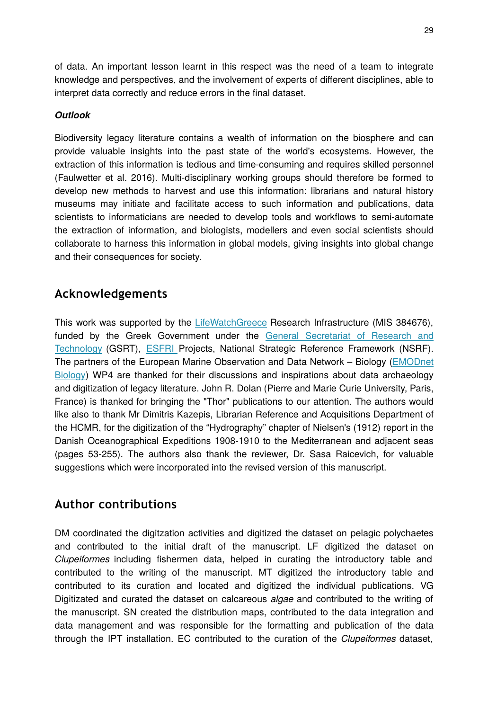of data. An important lesson learnt in this respect was the need of a team to integrate knowledge and perspectives, and the involvement of experts of different disciplines, able to interpret data correctly and reduce errors in the final dataset.

### *Outlook*

Biodiversity legacy literature contains a wealth of information on the biosphere and can provide valuable insights into the past state of the world's ecosystems. However, the extraction of this information is tedious and time-consuming and requires skilled personnel (Faulwetter et al. 2016). Multi-disciplinary working groups should therefore be formed to develop new methods to harvest and use this information: librarians and natural history museums may initiate and facilitate access to such information and publications, data scientists to informaticians are needed to develop tools and workflows to semi-automate the extraction of information, and biologists, modellers and even social scientists should collaborate to harness this information in global models, giving insights into global change and their consequences for society.

# **Acknowledgements**

This work was supported by the [LifeWatchGreece](https://www.lifewatchgreece.eu/) Research Infrastructure (MIS 384676), funded by the Greek Government under the [General Secretariat of Research and](http://www.gsrt.gr/central.aspx?sId=119I428I1089I323I488743&JScript=1) [Technology](http://www.gsrt.gr/central.aspx?sId=119I428I1089I323I488743&JScript=1) (GSRT), [ESFRI](https://ec.europa.eu/research/infrastructures/index_en.cfm?pg=esfri) Projects, National Strategic Reference Framework (NSRF). The partners of the European Marine Observation and Data Network – Biology ([EMODnet](http://www.emodnet-biology.eu/) [Biology\)](http://www.emodnet-biology.eu/) WP4 are thanked for their discussions and inspirations about data archaeology and digitization of legacy literature. John R. Dolan (Pierre and Marie Curie University, Paris, France) is thanked for bringing the "Thor" publications to our attention. The authors would like also to thank Mr Dimitris Kazepis, Librarian Reference and Acquisitions Department of the HCMR, for the digitization of the "Hydrography" chapter of Nielsen's (1912) report in the Danish Oceanographical Expeditions 1908-1910 to the Mediterranean and adjacent seas (pages 53-255). The authors also thank the reviewer, Dr. Sasa Raicevich, for valuable suggestions which were incorporated into the revised version of this manuscript.

# **Author contributions**

DM coordinated the digitzation activities and digitized the dataset on pelagic polychaetes and contributed to the initial draft of the manuscript. LF digitized the dataset on *Clupeiformes* including fishermen data, helped in curating the introductory table and contributed to the writing of the manuscript. MT digitized the introductory table and contributed to its curation and located and digitized the individual publications. VG Digitizated and curated the dataset on calcareous *algae* and contributed to the writing of the manuscript. SN created the distribution maps, contributed to the data integration and data management and was responsible for the formatting and publication of the data through the IPT installation. EC contributed to the curation of the *Clupeiformes* dataset,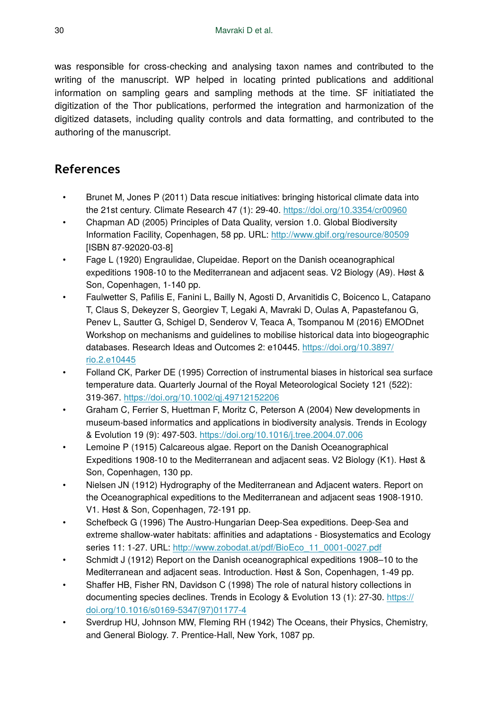was responsible for cross-checking and analysing taxon names and contributed to the writing of the manuscript. WP helped in locating printed publications and additional information on sampling gears and sampling methods at the time. SF initiatiated the digitization of the Thor publications, performed the integration and harmonization of the digitized datasets, including quality controls and data formatting, and contributed to the authoring of the manuscript.

# **References**

- Brunet M, Jones P (2011) Data rescue initiatives: bringing historical climate data into the 21st century. Climate Research 47 (1): 29‑40.<https://doi.org/10.3354/cr00960>
- Chapman AD (2005) Principles of Data Quality, version 1.0. Global Biodiversity Information Facility, Copenhagen, 58 pp. URL: <http://www.gbif.org/resource/80509> [ISBN 87-92020-03-8]
- Fage L (1920) Engraulidae, Clupeidae. Report on the Danish oceanographical expeditions 1908-10 to the Mediterranean and adjacent seas. V2 Biology (A9). Høst & Son, Copenhagen, 1-140 pp.
- Faulwetter S, Pafilis E, Fanini L, Bailly N, Agosti D, Arvanitidis C, Boicenco L, Catapano T, Claus S, Dekeyzer S, Georgiev T, Legaki A, Mavraki D, Oulas A, Papastefanou G, Penev L, Sautter G, Schigel D, Senderov V, Teaca A, Tsompanou M (2016) EMODnet Workshop on mechanisms and guidelines to mobilise historical data into biogeographic databases. Research Ideas and Outcomes 2: e10445. [https://doi.org/10.3897/](https://doi.org/10.3897/rio.2.e10445) [rio.2.e10445](https://doi.org/10.3897/rio.2.e10445)
- Folland CK, Parker DE (1995) Correction of instrumental biases in historical sea surface temperature data. Quarterly Journal of the Royal Meteorological Society 121 (522): 319‑367. <https://doi.org/10.1002/qj.49712152206>
- Graham C, Ferrier S, Huettman F, Moritz C, Peterson A (2004) New developments in museum-based informatics and applications in biodiversity analysis. Trends in Ecology & Evolution 19 (9): 497‑503.<https://doi.org/10.1016/j.tree.2004.07.006>
- Lemoine P (1915) Calcareous algae. Report on the Danish Oceanographical Expeditions 1908-10 to the Mediterranean and adjacent seas. V2 Biology (K1). Høst & Son, Copenhagen, 130 pp.
- Nielsen JN (1912) Hydrography of the Mediterranean and Adjacent waters. Report on the Oceanographical expeditions to the Mediterranean and adjacent seas 1908-1910. V1. Høst & Son, Copenhagen, 72-191 pp.
- Schefbeck G (1996) The Austro-Hungarian Deep-Sea expeditions. Deep-Sea and extreme shallow-water habitats: affinities and adaptations - Biosystematics and Ecology series 11: 1-27. URL: [http://www.zobodat.at/pdf/BioEco\\_11\\_0001-0027.pdf](http://www.zobodat.at/pdf/BioEco_11_0001-0027.pdf)
- Schmidt J (1912) Report on the Danish oceanographical expeditions 1908-10 to the Mediterranean and adjacent seas. Introduction. Høst & Son, Copenhagen, 1-49 pp.
- Shaffer HB, Fisher RN, Davidson C (1998) The role of natural history collections in documenting species declines. Trends in Ecology & Evolution 13 (1): 27‑30. [https://](https://doi.org/10.1016/s0169-5347(97)01177-4) [doi.org/10.1016/s0169-5347\(97\)01177-4](https://doi.org/10.1016/s0169-5347(97)01177-4)
- Sverdrup HU, Johnson MW, Fleming RH (1942) The Oceans, their Physics, Chemistry, and General Biology. 7. Prentice-Hall, New York, 1087 pp.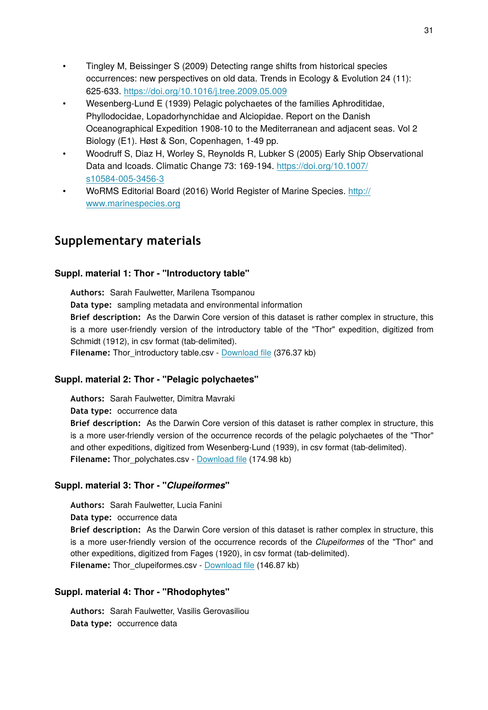- Tingley M, Beissinger S (2009) Detecting range shifts from historical species occurrences: new perspectives on old data. Trends in Ecology & Evolution 24 (11): 625‑633. <https://doi.org/10.1016/j.tree.2009.05.009>
- Wesenberg-Lund E (1939) Pelagic polychaetes of the families Aphroditidae, Phyllodocidae, Lopadorhynchidae and Alciopidae. Report on the Danish Oceanographical Expedition 1908-10 to the Mediterranean and adjacent seas. Vol 2 Biology (E1). Høst & Son, Copenhagen, 1-49 pp.
- Woodruff S, Diaz H, Worley S, Reynolds R, Lubker S (2005) Early Ship Observational Data and Icoads. Climatic Change 73: 169-194. [https://doi.org/10.1007/](https://doi.org/10.1007/s10584-005-3456-3) [s10584-005-3456-3](https://doi.org/10.1007/s10584-005-3456-3)
- WoRMS Editorial Board (2016) World Register of Marine Species. [http://](http://www.marinespecies.org) [www.marinespecies.org](http://www.marinespecies.org)

# **Supplementary materials**

#### **Suppl. material 1: Thor - "Introductory table"**

**Authors:** Sarah Faulwetter, Marilena Tsompanou **Data type:** sampling metadata and environmental information **Brief description:** As the Darwin Core version of this dataset is rather complex in structure, this is a more user-friendly version of the introductory table of the "Thor" expedition, digitized from Schmidt (1912), in csv format (tab-delimited). **Filename:** Thor\_introductory table.csv - [Download](http://arpha.pensoft.net//getfile.php?filename=oo_109397.csv) file (376.37 kb)

### **Suppl. material 2: Thor - "Pelagic polychaetes"**

**Authors:** Sarah Faulwetter, Dimitra Mavraki

**Data type:** occurrence data

**Brief description:** As the Darwin Core version of this dataset is rather complex in structure, this is a more user-friendly version of the occurrence records of the pelagic polychaetes of the "Thor" and other expeditions, digitized from Wesenberg-Lund (1939), in csv format (tab-delimited). Filename: Thor polychates.csv - [Download](http://arpha.pensoft.net//getfile.php?filename=oo_109400.csv) file (174.98 kb)

#### **Suppl. material 3: Thor - "***Clupeiformes***"**

**Authors:** Sarah Faulwetter, Lucia Fanini

**Data type:** occurrence data

**Brief description:** As the Darwin Core version of this dataset is rather complex in structure, this is a more user-friendly version of the occurrence records of the *Clupeiformes* of the "Thor" and other expeditions, digitized from Fages (1920), in csv format (tab-delimited). Filename: Thor clupeiformes.csv - [Download](http://arpha.pensoft.net//getfile.php?filename=oo_109401.csv) file (146.87 kb)

#### **Suppl. material 4: Thor - "Rhodophytes"**

**Authors:** Sarah Faulwetter, Vasilis Gerovasiliou **Data type:** occurrence data